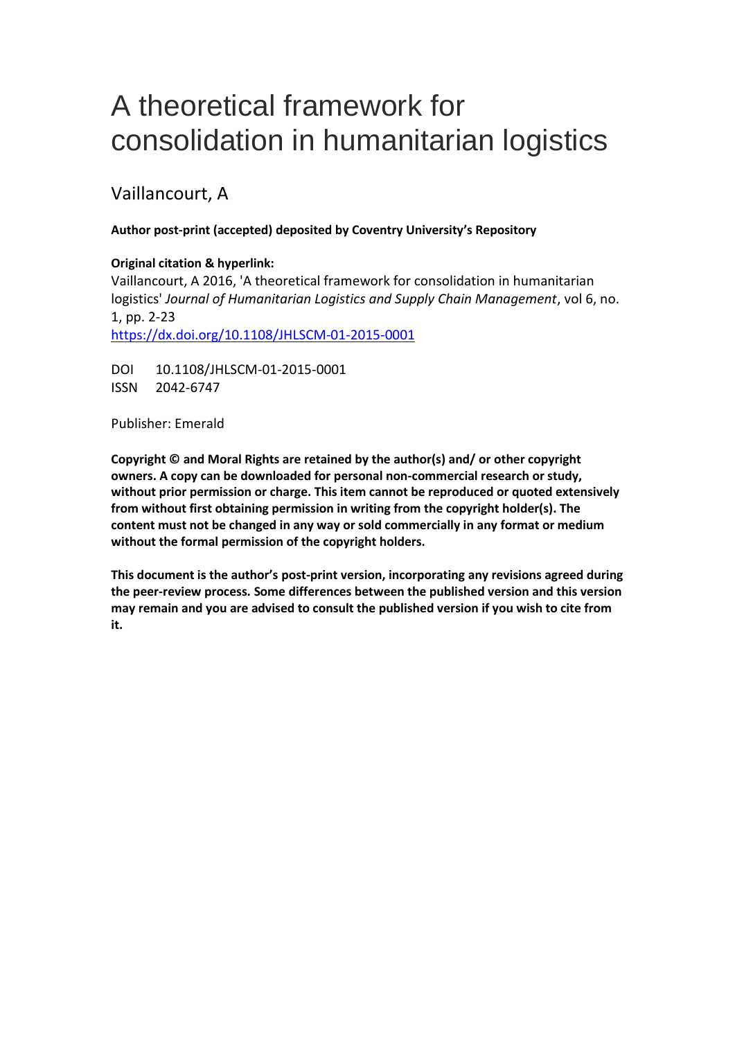# A theoretical framework for consolidation in humanitarian logistics

## Vaillancourt, A

## **Author post-print (accepted) deposited by Coventry University's Repository**

## **Original citation & hyperlink:**

Vaillancourt, A 2016, 'A theoretical framework for consolidation in humanitarian logistics' *Journal of Humanitarian Logistics and Supply Chain Management*, vol 6, no. 1, pp. 2-23 <https://dx.doi.org/10.1108/JHLSCM-01-2015-0001>

DOI 10.1108/JHLSCM-01-2015-0001 ISSN 2042-6747

Publisher: Emerald

**Copyright © and Moral Rights are retained by the author(s) and/ or other copyright owners. A copy can be downloaded for personal non-commercial research or study, without prior permission or charge. This item cannot be reproduced or quoted extensively from without first obtaining permission in writing from the copyright holder(s). The content must not be changed in any way or sold commercially in any format or medium without the formal permission of the copyright holders.** 

**This document is the author's post-print version, incorporating any revisions agreed during the peer-review process. Some differences between the published version and this version may remain and you are advised to consult the published version if you wish to cite from it.**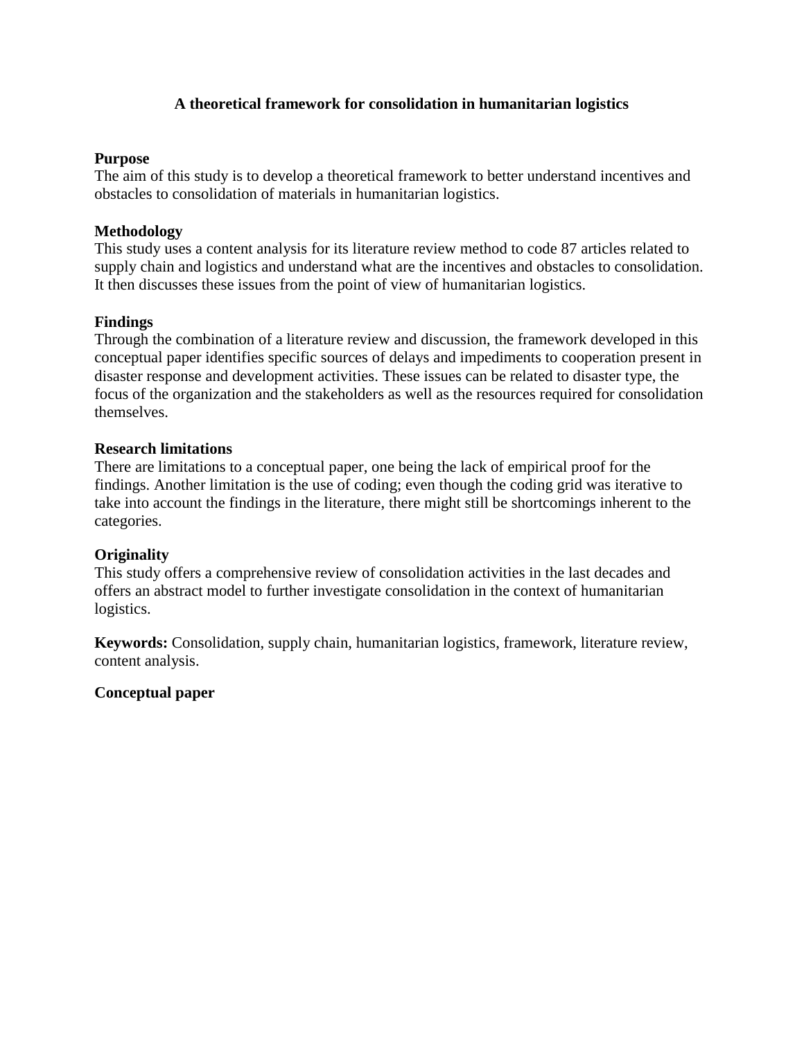## **A theoretical framework for consolidation in humanitarian logistics**

#### **Purpose**

The aim of this study is to develop a theoretical framework to better understand incentives and obstacles to consolidation of materials in humanitarian logistics.

## **Methodology**

This study uses a content analysis for its literature review method to code 87 articles related to supply chain and logistics and understand what are the incentives and obstacles to consolidation. It then discusses these issues from the point of view of humanitarian logistics.

## **Findings**

Through the combination of a literature review and discussion, the framework developed in this conceptual paper identifies specific sources of delays and impediments to cooperation present in disaster response and development activities. These issues can be related to disaster type, the focus of the organization and the stakeholders as well as the resources required for consolidation themselves.

#### **Research limitations**

There are limitations to a conceptual paper, one being the lack of empirical proof for the findings. Another limitation is the use of coding; even though the coding grid was iterative to take into account the findings in the literature, there might still be shortcomings inherent to the categories.

#### **Originality**

This study offers a comprehensive review of consolidation activities in the last decades and offers an abstract model to further investigate consolidation in the context of humanitarian logistics.

**Keywords:** Consolidation, supply chain, humanitarian logistics, framework, literature review, content analysis.

## **Conceptual paper**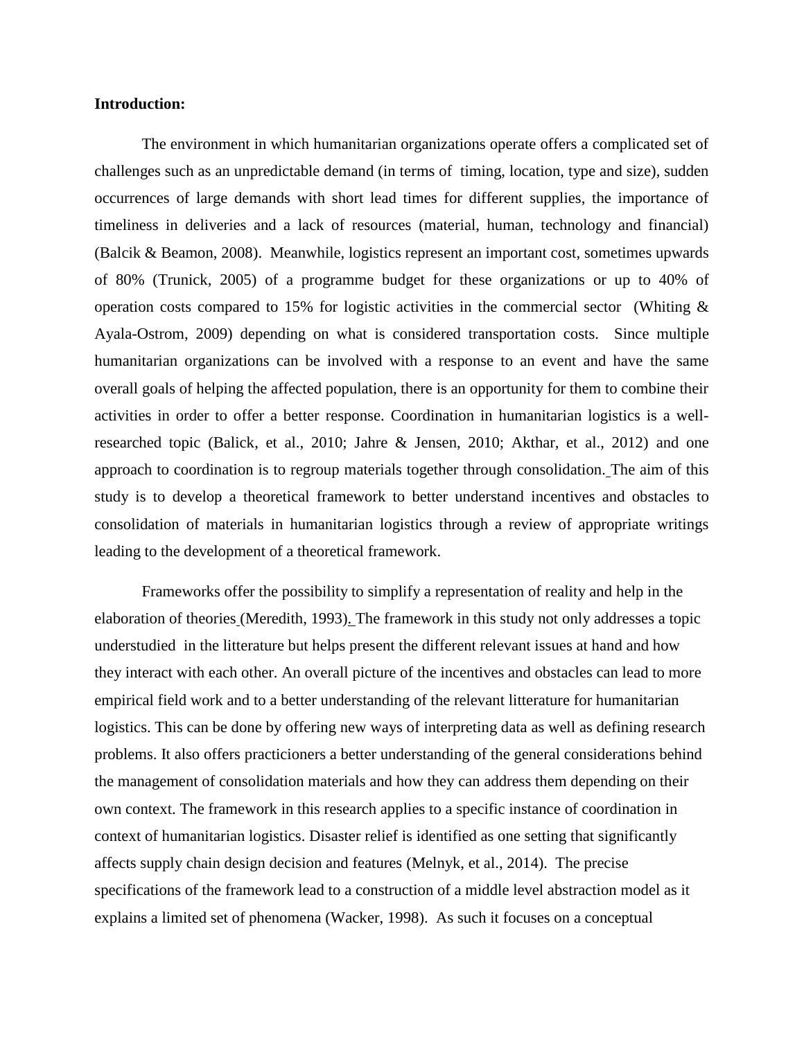#### **Introduction:**

The environment in which humanitarian organizations operate offers a complicated set of challenges such as an unpredictable demand (in terms of timing, location, type and size), sudden occurrences of large demands with short lead times for different supplies, the importance of timeliness in deliveries and a lack of resources (material, human, technology and financial) (Balcik & Beamon, 2008). Meanwhile, logistics represent an important cost, sometimes upwards of 80% (Trunick, 2005) of a programme budget for these organizations or up to 40% of operation costs compared to 15% for logistic activities in the commercial sector (Whiting & Ayala-Ostrom, 2009) depending on what is considered transportation costs. Since multiple humanitarian organizations can be involved with a response to an event and have the same overall goals of helping the affected population, there is an opportunity for them to combine their activities in order to offer a better response. Coordination in humanitarian logistics is a wellresearched topic (Balick, et al., 2010; Jahre & Jensen, 2010; Akthar, et al., 2012) and one approach to coordination is to regroup materials together through consolidation. The aim of this study is to develop a theoretical framework to better understand incentives and obstacles to consolidation of materials in humanitarian logistics through a review of appropriate writings leading to the development of a theoretical framework.

Frameworks offer the possibility to simplify a representation of reality and help in the elaboration of theories (Meredith, 1993). The framework in this study not only addresses a topic understudied in the litterature but helps present the different relevant issues at hand and how they interact with each other. An overall picture of the incentives and obstacles can lead to more empirical field work and to a better understanding of the relevant litterature for humanitarian logistics. This can be done by offering new ways of interpreting data as well as defining research problems. It also offers practicioners a better understanding of the general considerations behind the management of consolidation materials and how they can address them depending on their own context. The framework in this research applies to a specific instance of coordination in context of humanitarian logistics. Disaster relief is identified as one setting that significantly affects supply chain design decision and features (Melnyk, et al., 2014). The precise specifications of the framework lead to a construction of a middle level abstraction model as it explains a limited set of phenomena (Wacker, 1998). As such it focuses on a conceptual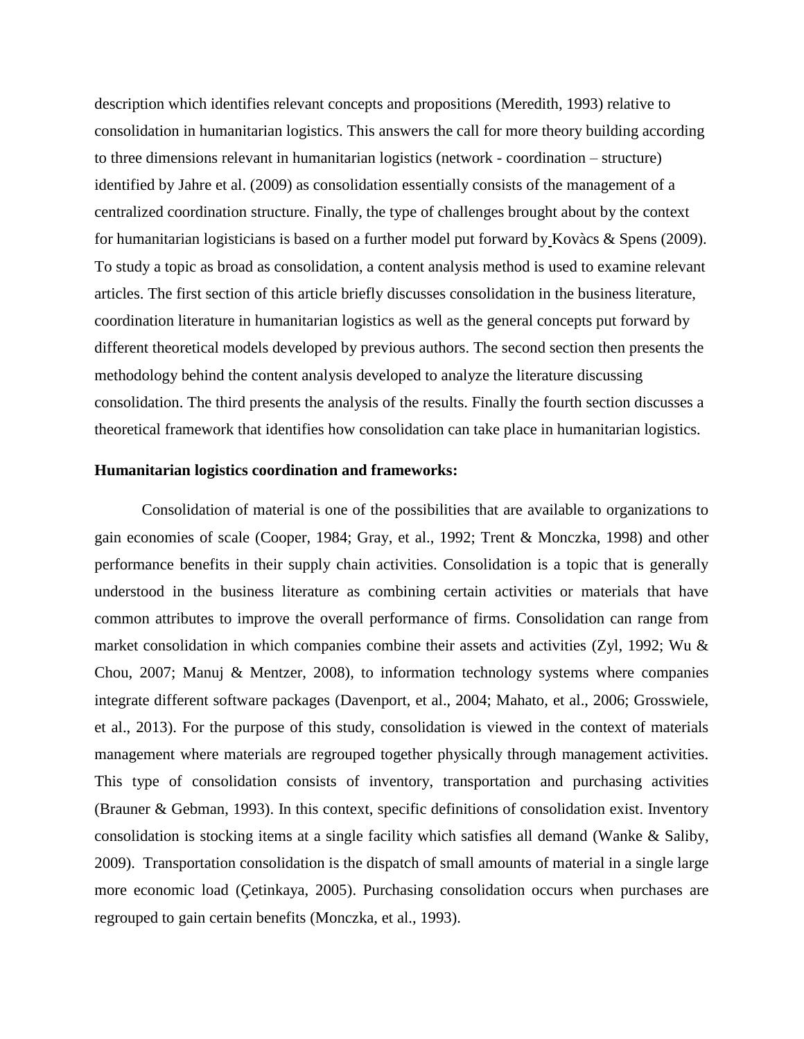description which identifies relevant concepts and propositions (Meredith, 1993) relative to consolidation in humanitarian logistics. This answers the call for more theory building according to three dimensions relevant in humanitarian logistics (network - coordination – structure) identified by Jahre et al. (2009) as consolidation essentially consists of the management of a centralized coordination structure. Finally, the type of challenges brought about by the context for humanitarian logisticians is based on a further model put forward by Kovàcs & Spens (2009). To study a topic as broad as consolidation, a content analysis method is used to examine relevant articles. The first section of this article briefly discusses consolidation in the business literature, coordination literature in humanitarian logistics as well as the general concepts put forward by different theoretical models developed by previous authors. The second section then presents the methodology behind the content analysis developed to analyze the literature discussing consolidation. The third presents the analysis of the results. Finally the fourth section discusses a theoretical framework that identifies how consolidation can take place in humanitarian logistics.

#### **Humanitarian logistics coordination and frameworks:**

Consolidation of material is one of the possibilities that are available to organizations to gain economies of scale (Cooper, 1984; Gray, et al., 1992; Trent & Monczka, 1998) and other performance benefits in their supply chain activities. Consolidation is a topic that is generally understood in the business literature as combining certain activities or materials that have common attributes to improve the overall performance of firms. Consolidation can range from market consolidation in which companies combine their assets and activities (Zyl, 1992; Wu  $\&$ Chou, 2007; Manuj & Mentzer, 2008), to information technology systems where companies integrate different software packages (Davenport, et al., 2004; Mahato, et al., 2006; Grosswiele, et al., 2013). For the purpose of this study, consolidation is viewed in the context of materials management where materials are regrouped together physically through management activities. This type of consolidation consists of inventory, transportation and purchasing activities (Brauner & Gebman, 1993). In this context, specific definitions of consolidation exist. Inventory consolidation is stocking items at a single facility which satisfies all demand (Wanke & Saliby, 2009). Transportation consolidation is the dispatch of small amounts of material in a single large more economic load (Çetinkaya, 2005). Purchasing consolidation occurs when purchases are regrouped to gain certain benefits (Monczka, et al., 1993).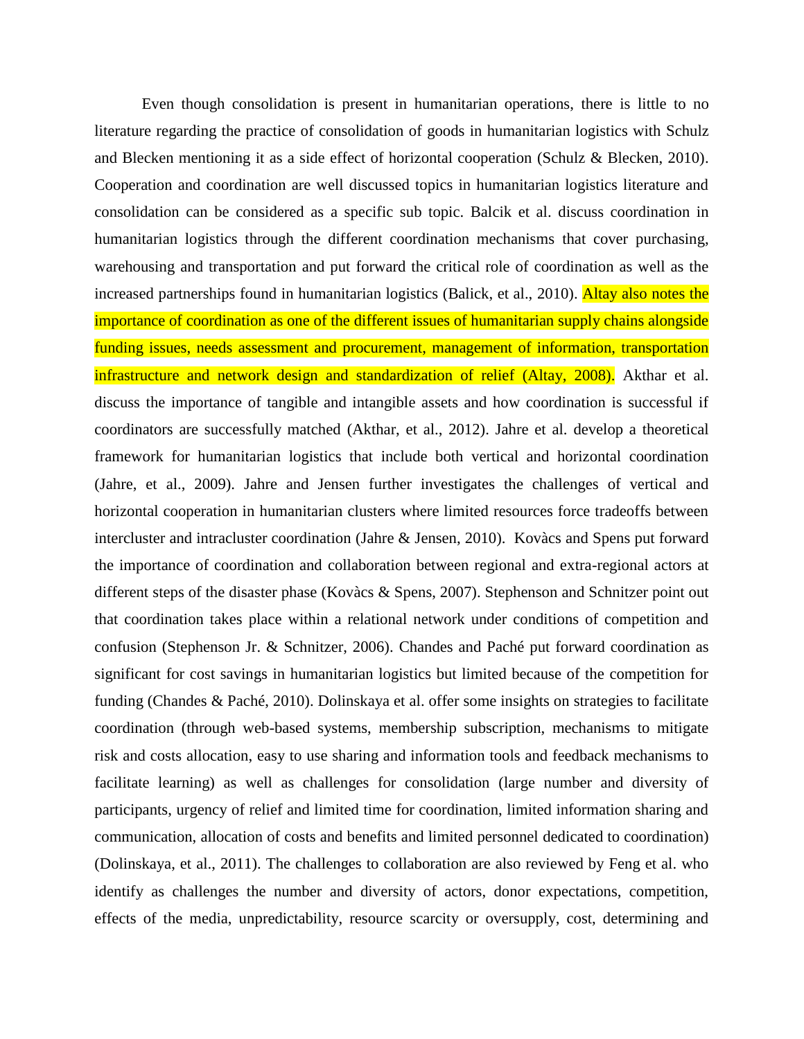Even though consolidation is present in humanitarian operations, there is little to no literature regarding the practice of consolidation of goods in humanitarian logistics with Schulz and Blecken mentioning it as a side effect of horizontal cooperation (Schulz & Blecken, 2010). Cooperation and coordination are well discussed topics in humanitarian logistics literature and consolidation can be considered as a specific sub topic. Balcik et al. discuss coordination in humanitarian logistics through the different coordination mechanisms that cover purchasing, warehousing and transportation and put forward the critical role of coordination as well as the increased partnerships found in humanitarian logistics (Balick, et al., 2010). Altay also notes the importance of coordination as one of the different issues of humanitarian supply chains alongside funding issues, needs assessment and procurement, management of information, transportation infrastructure and network design and standardization of relief (Altay, 2008). Akthar et al. discuss the importance of tangible and intangible assets and how coordination is successful if coordinators are successfully matched (Akthar, et al., 2012). Jahre et al. develop a theoretical framework for humanitarian logistics that include both vertical and horizontal coordination (Jahre, et al., 2009). Jahre and Jensen further investigates the challenges of vertical and horizontal cooperation in humanitarian clusters where limited resources force tradeoffs between intercluster and intracluster coordination (Jahre & Jensen, 2010). Kovàcs and Spens put forward the importance of coordination and collaboration between regional and extra-regional actors at different steps of the disaster phase (Kovàcs & Spens, 2007). Stephenson and Schnitzer point out that coordination takes place within a relational network under conditions of competition and confusion (Stephenson Jr. & Schnitzer, 2006). Chandes and Paché put forward coordination as significant for cost savings in humanitarian logistics but limited because of the competition for funding (Chandes & Paché, 2010). Dolinskaya et al. offer some insights on strategies to facilitate coordination (through web-based systems, membership subscription, mechanisms to mitigate risk and costs allocation, easy to use sharing and information tools and feedback mechanisms to facilitate learning) as well as challenges for consolidation (large number and diversity of participants, urgency of relief and limited time for coordination, limited information sharing and communication, allocation of costs and benefits and limited personnel dedicated to coordination) (Dolinskaya, et al., 2011). The challenges to collaboration are also reviewed by Feng et al. who identify as challenges the number and diversity of actors, donor expectations, competition, effects of the media, unpredictability, resource scarcity or oversupply, cost, determining and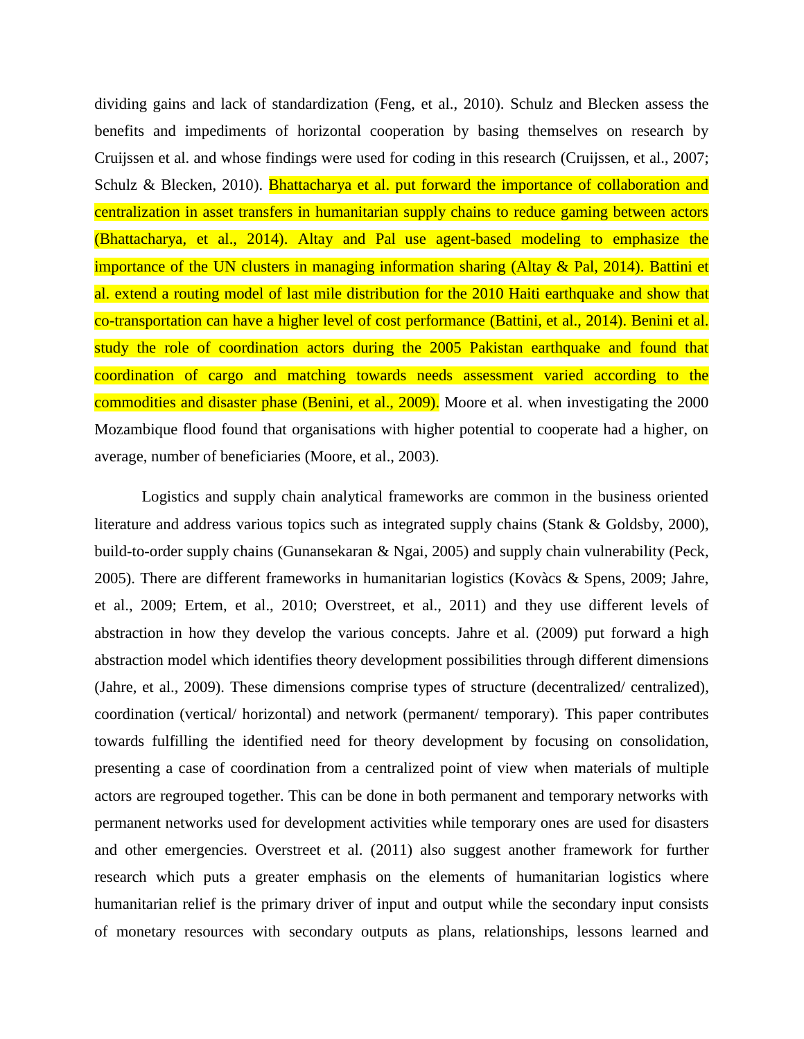dividing gains and lack of standardization (Feng, et al., 2010). Schulz and Blecken assess the benefits and impediments of horizontal cooperation by basing themselves on research by Cruijssen et al. and whose findings were used for coding in this research (Cruijssen, et al., 2007; Schulz & Blecken, 2010). **Bhattacharya et al. put forward the importance of collaboration and** centralization in asset transfers in humanitarian supply chains to reduce gaming between actors (Bhattacharya, et al., 2014). Altay and Pal use agent-based modeling to emphasize the importance of the UN clusters in managing information sharing (Altay & Pal, 2014). Battini et al. extend a routing model of last mile distribution for the 2010 Haiti earthquake and show that co-transportation can have a higher level of cost performance (Battini, et al., 2014). Benini et al. study the role of coordination actors during the 2005 Pakistan earthquake and found that coordination of cargo and matching towards needs assessment varied according to the commodities and disaster phase (Benini, et al., 2009). Moore et al. when investigating the 2000 Mozambique flood found that organisations with higher potential to cooperate had a higher, on average, number of beneficiaries (Moore, et al., 2003).

Logistics and supply chain analytical frameworks are common in the business oriented literature and address various topics such as integrated supply chains (Stank & Goldsby, 2000), build-to-order supply chains (Gunansekaran & Ngai, 2005) and supply chain vulnerability (Peck, 2005). There are different frameworks in humanitarian logistics (Kovàcs & Spens, 2009; Jahre, et al., 2009; Ertem, et al., 2010; Overstreet, et al., 2011) and they use different levels of abstraction in how they develop the various concepts. Jahre et al. (2009) put forward a high abstraction model which identifies theory development possibilities through different dimensions (Jahre, et al., 2009). These dimensions comprise types of structure (decentralized/ centralized), coordination (vertical/ horizontal) and network (permanent/ temporary). This paper contributes towards fulfilling the identified need for theory development by focusing on consolidation, presenting a case of coordination from a centralized point of view when materials of multiple actors are regrouped together. This can be done in both permanent and temporary networks with permanent networks used for development activities while temporary ones are used for disasters and other emergencies. Overstreet et al. (2011) also suggest another framework for further research which puts a greater emphasis on the elements of humanitarian logistics where humanitarian relief is the primary driver of input and output while the secondary input consists of monetary resources with secondary outputs as plans, relationships, lessons learned and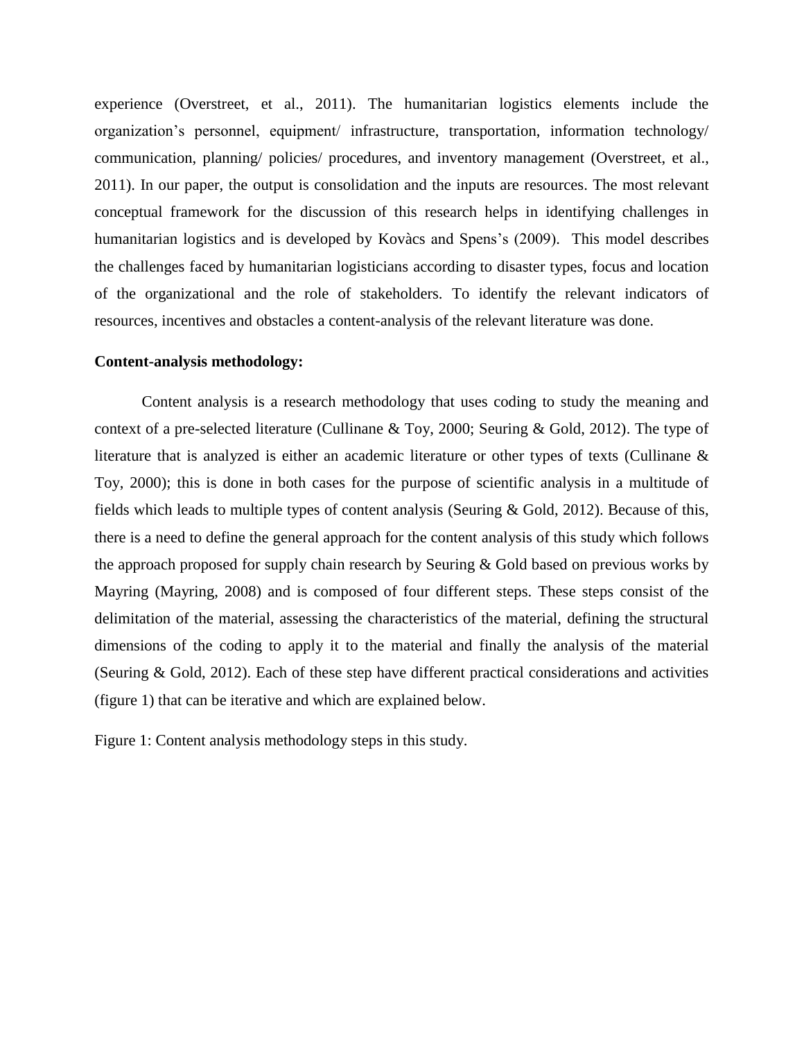experience (Overstreet, et al., 2011). The humanitarian logistics elements include the organization's personnel, equipment/ infrastructure, transportation, information technology/ communication, planning/ policies/ procedures, and inventory management (Overstreet, et al., 2011). In our paper, the output is consolidation and the inputs are resources. The most relevant conceptual framework for the discussion of this research helps in identifying challenges in humanitarian logistics and is developed by Kovàcs and Spens's (2009). This model describes the challenges faced by humanitarian logisticians according to disaster types, focus and location of the organizational and the role of stakeholders. To identify the relevant indicators of resources, incentives and obstacles a content-analysis of the relevant literature was done.

#### **Content-analysis methodology:**

Content analysis is a research methodology that uses coding to study the meaning and context of a pre-selected literature (Cullinane & Toy, 2000; Seuring & Gold, 2012). The type of literature that is analyzed is either an academic literature or other types of texts (Cullinane & Toy, 2000); this is done in both cases for the purpose of scientific analysis in a multitude of fields which leads to multiple types of content analysis (Seuring & Gold, 2012). Because of this, there is a need to define the general approach for the content analysis of this study which follows the approach proposed for supply chain research by Seuring & Gold based on previous works by Mayring (Mayring, 2008) and is composed of four different steps. These steps consist of the delimitation of the material, assessing the characteristics of the material, defining the structural dimensions of the coding to apply it to the material and finally the analysis of the material (Seuring & Gold, 2012). Each of these step have different practical considerations and activities (figure 1) that can be iterative and which are explained below.

Figure 1: Content analysis methodology steps in this study.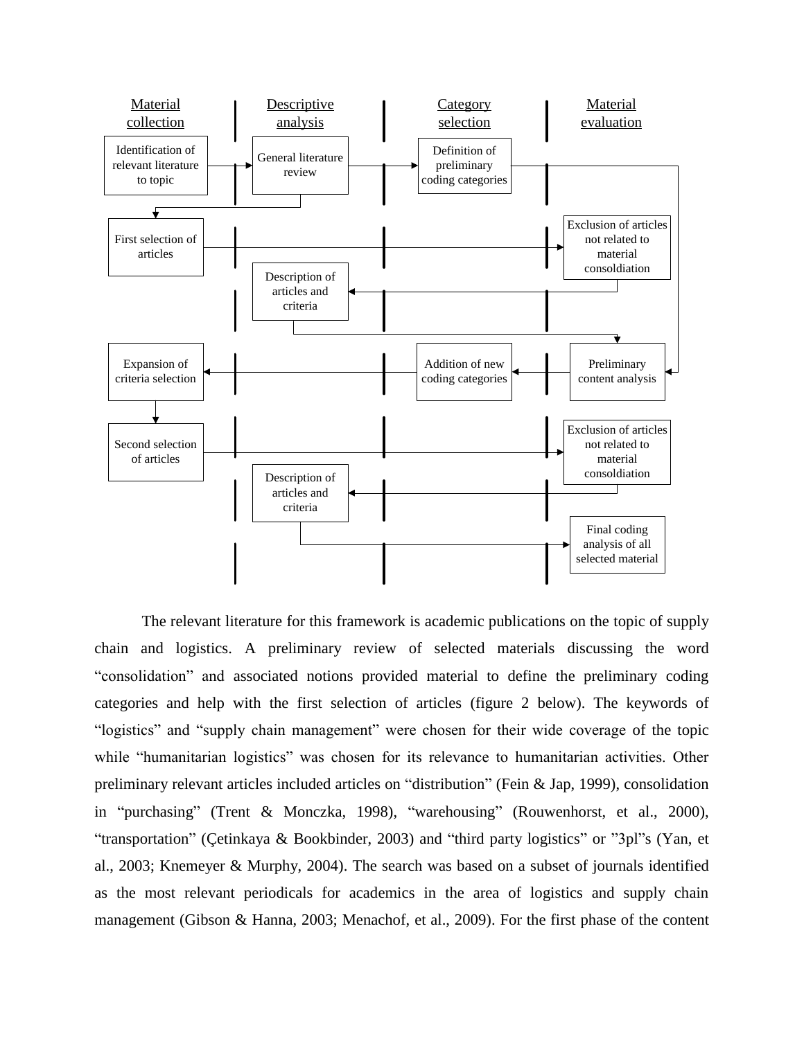

The relevant literature for this framework is academic publications on the topic of supply chain and logistics. A preliminary review of selected materials discussing the word "consolidation" and associated notions provided material to define the preliminary coding categories and help with the first selection of articles (figure 2 below). The keywords of "logistics" and "supply chain management" were chosen for their wide coverage of the topic while "humanitarian logistics" was chosen for its relevance to humanitarian activities. Other preliminary relevant articles included articles on "distribution" (Fein & Jap, 1999), consolidation in "purchasing" (Trent & Monczka, 1998), "warehousing" (Rouwenhorst, et al., 2000), "transportation" (Çetinkaya & Bookbinder, 2003) and "third party logistics" or "3pl"s (Yan, et al., 2003; Knemeyer & Murphy, 2004). The search was based on a subset of journals identified as the most relevant periodicals for academics in the area of logistics and supply chain management (Gibson & Hanna, 2003; Menachof, et al., 2009). For the first phase of the content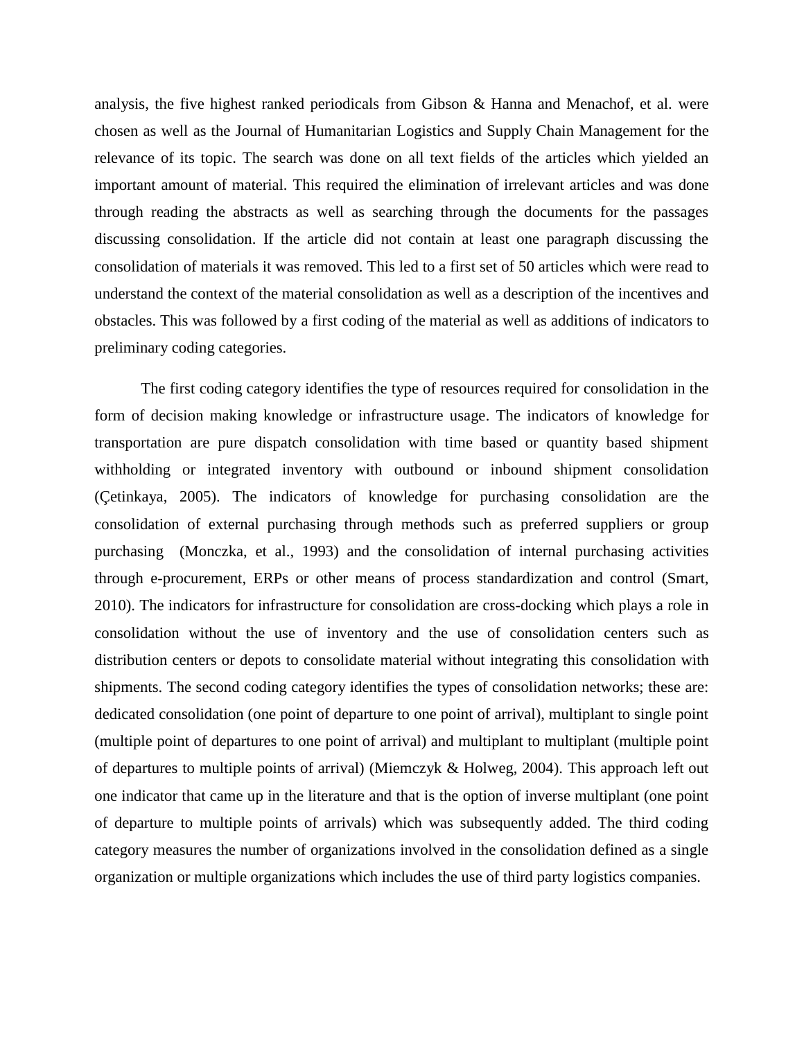analysis, the five highest ranked periodicals from Gibson & Hanna and Menachof, et al. were chosen as well as the Journal of Humanitarian Logistics and Supply Chain Management for the relevance of its topic. The search was done on all text fields of the articles which yielded an important amount of material. This required the elimination of irrelevant articles and was done through reading the abstracts as well as searching through the documents for the passages discussing consolidation. If the article did not contain at least one paragraph discussing the consolidation of materials it was removed. This led to a first set of 50 articles which were read to understand the context of the material consolidation as well as a description of the incentives and obstacles. This was followed by a first coding of the material as well as additions of indicators to preliminary coding categories.

The first coding category identifies the type of resources required for consolidation in the form of decision making knowledge or infrastructure usage. The indicators of knowledge for transportation are pure dispatch consolidation with time based or quantity based shipment withholding or integrated inventory with outbound or inbound shipment consolidation (Çetinkaya, 2005). The indicators of knowledge for purchasing consolidation are the consolidation of external purchasing through methods such as preferred suppliers or group purchasing (Monczka, et al., 1993) and the consolidation of internal purchasing activities through e-procurement, ERPs or other means of process standardization and control (Smart, 2010). The indicators for infrastructure for consolidation are cross-docking which plays a role in consolidation without the use of inventory and the use of consolidation centers such as distribution centers or depots to consolidate material without integrating this consolidation with shipments. The second coding category identifies the types of consolidation networks; these are: dedicated consolidation (one point of departure to one point of arrival), multiplant to single point (multiple point of departures to one point of arrival) and multiplant to multiplant (multiple point of departures to multiple points of arrival) (Miemczyk & Holweg, 2004). This approach left out one indicator that came up in the literature and that is the option of inverse multiplant (one point of departure to multiple points of arrivals) which was subsequently added. The third coding category measures the number of organizations involved in the consolidation defined as a single organization or multiple organizations which includes the use of third party logistics companies.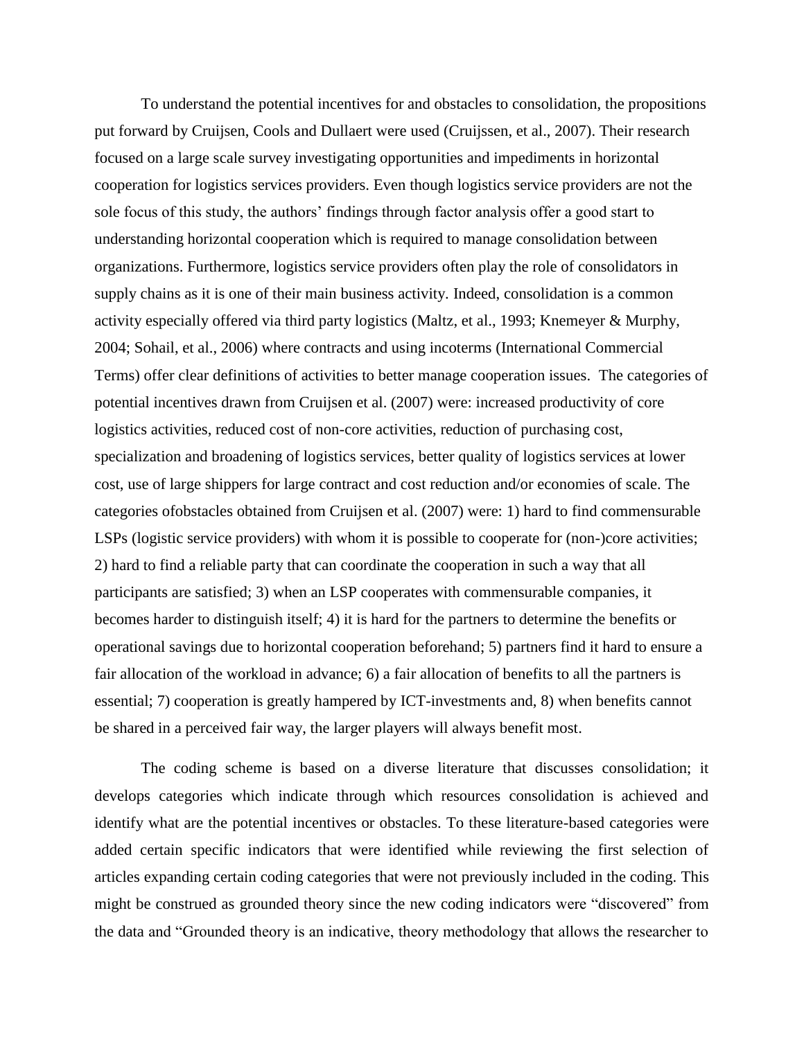To understand the potential incentives for and obstacles to consolidation, the propositions put forward by Cruijsen, Cools and Dullaert were used (Cruijssen, et al., 2007). Their research focused on a large scale survey investigating opportunities and impediments in horizontal cooperation for logistics services providers. Even though logistics service providers are not the sole focus of this study, the authors' findings through factor analysis offer a good start to understanding horizontal cooperation which is required to manage consolidation between organizations. Furthermore, logistics service providers often play the role of consolidators in supply chains as it is one of their main business activity. Indeed, consolidation is a common activity especially offered via third party logistics (Maltz, et al., 1993; Knemeyer & Murphy, 2004; Sohail, et al., 2006) where contracts and using incoterms (International Commercial Terms) offer clear definitions of activities to better manage cooperation issues. The categories of potential incentives drawn from Cruijsen et al. (2007) were: increased productivity of core logistics activities, reduced cost of non-core activities, reduction of purchasing cost, specialization and broadening of logistics services, better quality of logistics services at lower cost, use of large shippers for large contract and cost reduction and/or economies of scale. The categories ofobstacles obtained from Cruijsen et al. (2007) were: 1) hard to find commensurable LSPs (logistic service providers) with whom it is possible to cooperate for (non-)core activities; 2) hard to find a reliable party that can coordinate the cooperation in such a way that all participants are satisfied; 3) when an LSP cooperates with commensurable companies, it becomes harder to distinguish itself; 4) it is hard for the partners to determine the benefits or operational savings due to horizontal cooperation beforehand; 5) partners find it hard to ensure a fair allocation of the workload in advance; 6) a fair allocation of benefits to all the partners is essential; 7) cooperation is greatly hampered by ICT-investments and, 8) when benefits cannot be shared in a perceived fair way, the larger players will always benefit most.

The coding scheme is based on a diverse literature that discusses consolidation; it develops categories which indicate through which resources consolidation is achieved and identify what are the potential incentives or obstacles. To these literature-based categories were added certain specific indicators that were identified while reviewing the first selection of articles expanding certain coding categories that were not previously included in the coding. This might be construed as grounded theory since the new coding indicators were "discovered" from the data and "Grounded theory is an indicative, theory methodology that allows the researcher to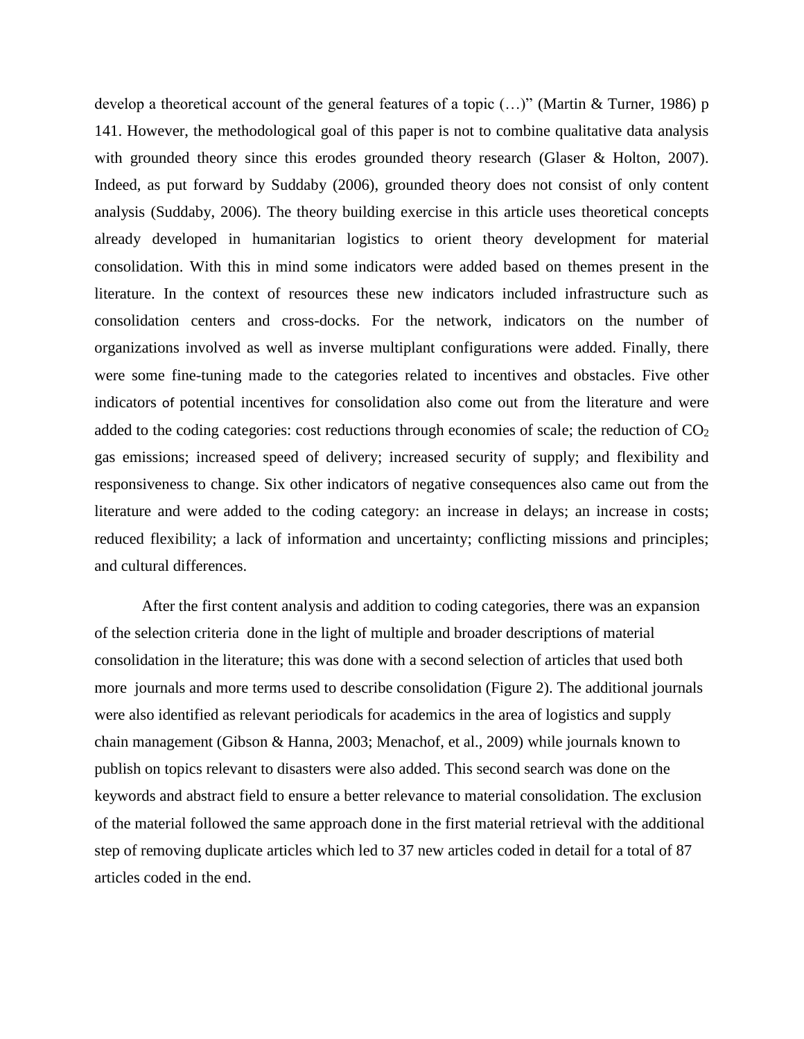develop a theoretical account of the general features of a topic (…)" (Martin & Turner, 1986) p 141. However, the methodological goal of this paper is not to combine qualitative data analysis with grounded theory since this erodes grounded theory research (Glaser & Holton, 2007). Indeed, as put forward by Suddaby (2006), grounded theory does not consist of only content analysis (Suddaby, 2006). The theory building exercise in this article uses theoretical concepts already developed in humanitarian logistics to orient theory development for material consolidation. With this in mind some indicators were added based on themes present in the literature. In the context of resources these new indicators included infrastructure such as consolidation centers and cross-docks. For the network, indicators on the number of organizations involved as well as inverse multiplant configurations were added. Finally, there were some fine-tuning made to the categories related to incentives and obstacles. Five other indicators of potential incentives for consolidation also come out from the literature and were added to the coding categories: cost reductions through economies of scale; the reduction of  $CO<sub>2</sub>$ gas emissions; increased speed of delivery; increased security of supply; and flexibility and responsiveness to change. Six other indicators of negative consequences also came out from the literature and were added to the coding category: an increase in delays; an increase in costs; reduced flexibility; a lack of information and uncertainty; conflicting missions and principles; and cultural differences.

After the first content analysis and addition to coding categories, there was an expansion of the selection criteria done in the light of multiple and broader descriptions of material consolidation in the literature; this was done with a second selection of articles that used both more journals and more terms used to describe consolidation (Figure 2). The additional journals were also identified as relevant periodicals for academics in the area of logistics and supply chain management (Gibson & Hanna, 2003; Menachof, et al., 2009) while journals known to publish on topics relevant to disasters were also added. This second search was done on the keywords and abstract field to ensure a better relevance to material consolidation. The exclusion of the material followed the same approach done in the first material retrieval with the additional step of removing duplicate articles which led to 37 new articles coded in detail for a total of 87 articles coded in the end.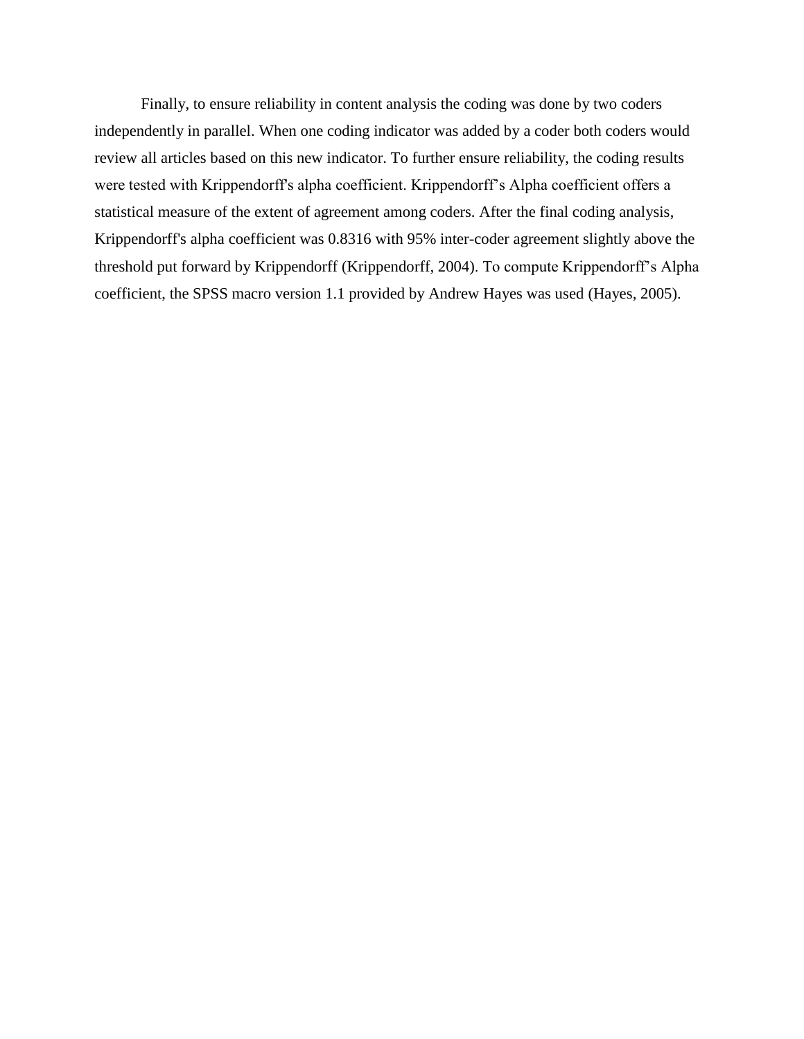Finally, to ensure reliability in content analysis the coding was done by two coders independently in parallel. When one coding indicator was added by a coder both coders would review all articles based on this new indicator. To further ensure reliability, the coding results were tested with Krippendorff's alpha coefficient. Krippendorff's Alpha coefficient offers a statistical measure of the extent of agreement among coders. After the final coding analysis, Krippendorff's alpha coefficient was 0.8316 with 95% inter-coder agreement slightly above the threshold put forward by Krippendorff (Krippendorff, 2004). To compute Krippendorff's Alpha coefficient, the SPSS macro version 1.1 provided by Andrew Hayes was used (Hayes, 2005).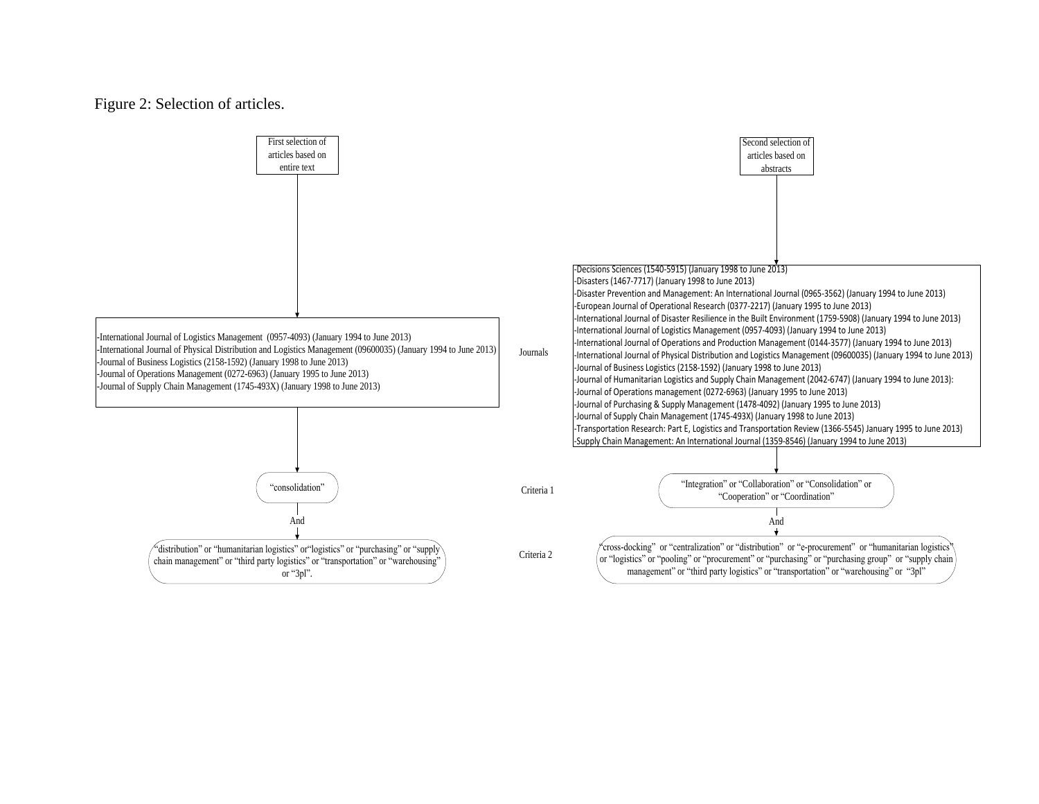#### Figure 2: Selection of articles.

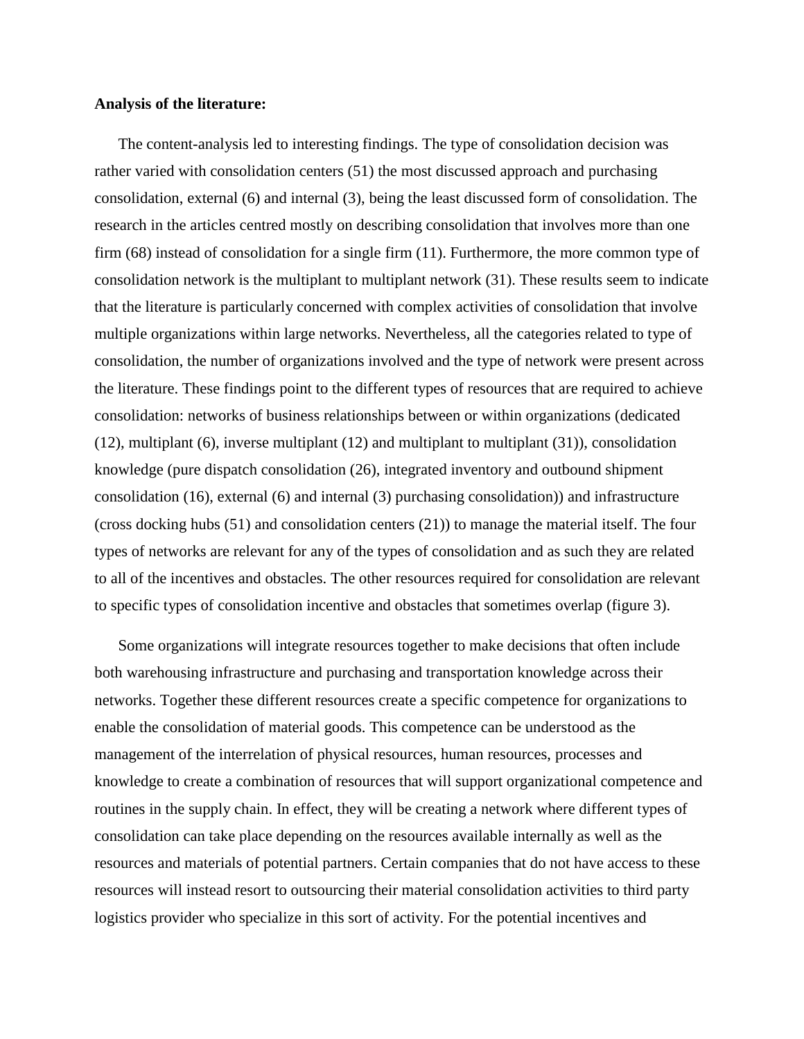#### **Analysis of the literature:**

The content-analysis led to interesting findings. The type of consolidation decision was rather varied with consolidation centers (51) the most discussed approach and purchasing consolidation, external (6) and internal (3), being the least discussed form of consolidation. The research in the articles centred mostly on describing consolidation that involves more than one firm (68) instead of consolidation for a single firm (11). Furthermore, the more common type of consolidation network is the multiplant to multiplant network (31). These results seem to indicate that the literature is particularly concerned with complex activities of consolidation that involve multiple organizations within large networks. Nevertheless, all the categories related to type of consolidation, the number of organizations involved and the type of network were present across the literature. These findings point to the different types of resources that are required to achieve consolidation: networks of business relationships between or within organizations (dedicated (12), multiplant (6), inverse multiplant (12) and multiplant to multiplant (31)), consolidation knowledge (pure dispatch consolidation (26), integrated inventory and outbound shipment consolidation (16), external (6) and internal (3) purchasing consolidation)) and infrastructure (cross docking hubs (51) and consolidation centers (21)) to manage the material itself. The four types of networks are relevant for any of the types of consolidation and as such they are related to all of the incentives and obstacles. The other resources required for consolidation are relevant to specific types of consolidation incentive and obstacles that sometimes overlap (figure 3).

Some organizations will integrate resources together to make decisions that often include both warehousing infrastructure and purchasing and transportation knowledge across their networks. Together these different resources create a specific competence for organizations to enable the consolidation of material goods. This competence can be understood as the management of the interrelation of physical resources, human resources, processes and knowledge to create a combination of resources that will support organizational competence and routines in the supply chain. In effect, they will be creating a network where different types of consolidation can take place depending on the resources available internally as well as the resources and materials of potential partners. Certain companies that do not have access to these resources will instead resort to outsourcing their material consolidation activities to third party logistics provider who specialize in this sort of activity. For the potential incentives and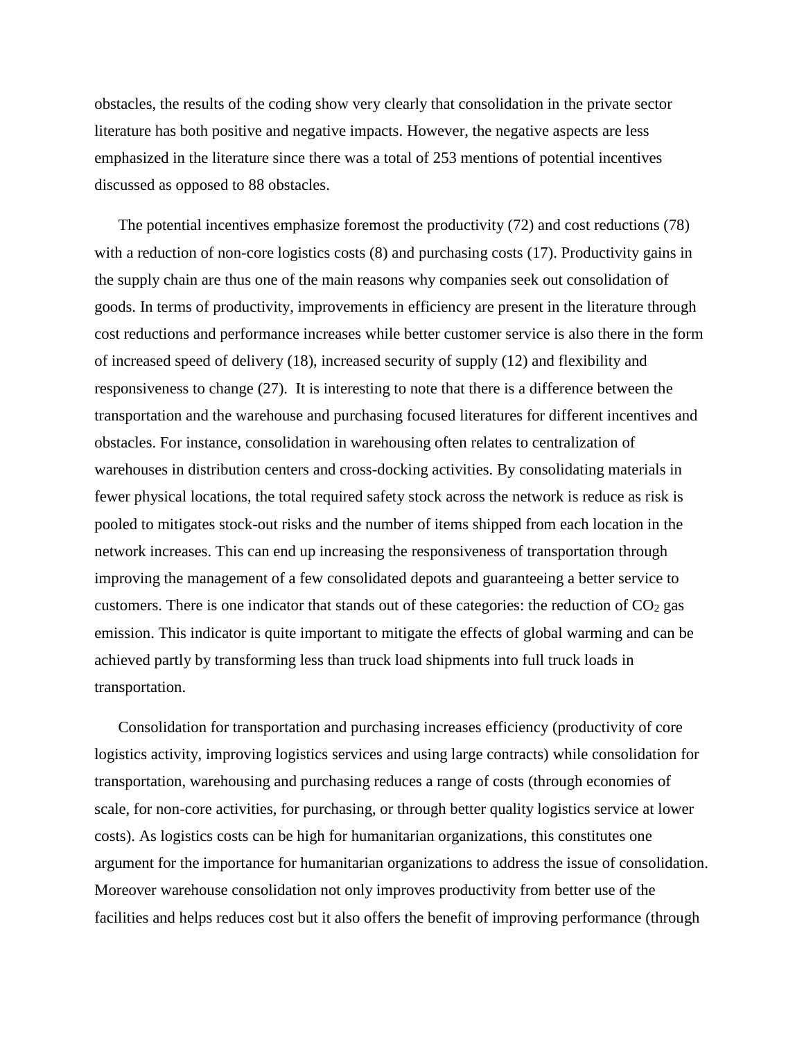obstacles, the results of the coding show very clearly that consolidation in the private sector literature has both positive and negative impacts. However, the negative aspects are less emphasized in the literature since there was a total of 253 mentions of potential incentives discussed as opposed to 88 obstacles.

The potential incentives emphasize foremost the productivity (72) and cost reductions (78) with a reduction of non-core logistics costs  $(8)$  and purchasing costs  $(17)$ . Productivity gains in the supply chain are thus one of the main reasons why companies seek out consolidation of goods. In terms of productivity, improvements in efficiency are present in the literature through cost reductions and performance increases while better customer service is also there in the form of increased speed of delivery (18), increased security of supply (12) and flexibility and responsiveness to change (27). It is interesting to note that there is a difference between the transportation and the warehouse and purchasing focused literatures for different incentives and obstacles. For instance, consolidation in warehousing often relates to centralization of warehouses in distribution centers and cross-docking activities. By consolidating materials in fewer physical locations, the total required safety stock across the network is reduce as risk is pooled to mitigates stock-out risks and the number of items shipped from each location in the network increases. This can end up increasing the responsiveness of transportation through improving the management of a few consolidated depots and guaranteeing a better service to customers. There is one indicator that stands out of these categories: the reduction of  $CO<sub>2</sub>$  gas emission. This indicator is quite important to mitigate the effects of global warming and can be achieved partly by transforming less than truck load shipments into full truck loads in transportation.

Consolidation for transportation and purchasing increases efficiency (productivity of core logistics activity, improving logistics services and using large contracts) while consolidation for transportation, warehousing and purchasing reduces a range of costs (through economies of scale, for non-core activities, for purchasing, or through better quality logistics service at lower costs). As logistics costs can be high for humanitarian organizations, this constitutes one argument for the importance for humanitarian organizations to address the issue of consolidation. Moreover warehouse consolidation not only improves productivity from better use of the facilities and helps reduces cost but it also offers the benefit of improving performance (through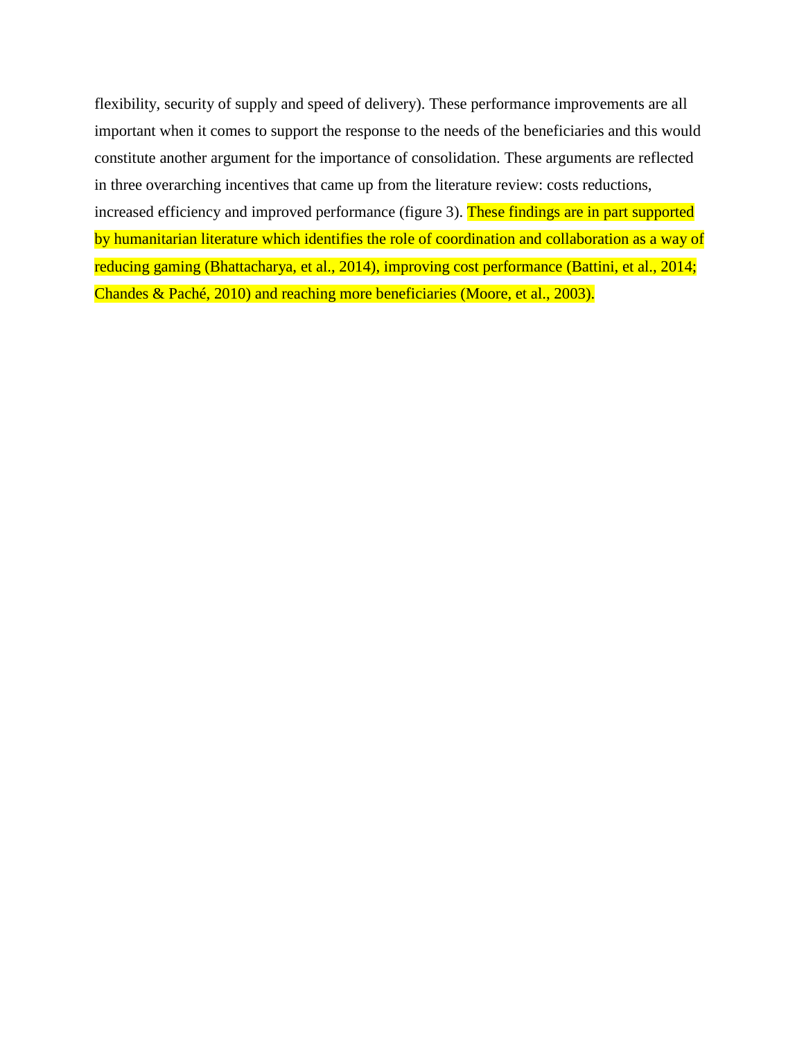flexibility, security of supply and speed of delivery). These performance improvements are all important when it comes to support the response to the needs of the beneficiaries and this would constitute another argument for the importance of consolidation. These arguments are reflected in three overarching incentives that came up from the literature review: costs reductions, increased efficiency and improved performance (figure 3). These findings are in part supported

by humanitarian literature which identifies the role of coordination and collaboration as a way of reducing gaming (Bhattacharya, et al., 2014), improving cost performance (Battini, et al., 2014; Chandes & Paché, 2010) and reaching more beneficiaries (Moore, et al., 2003).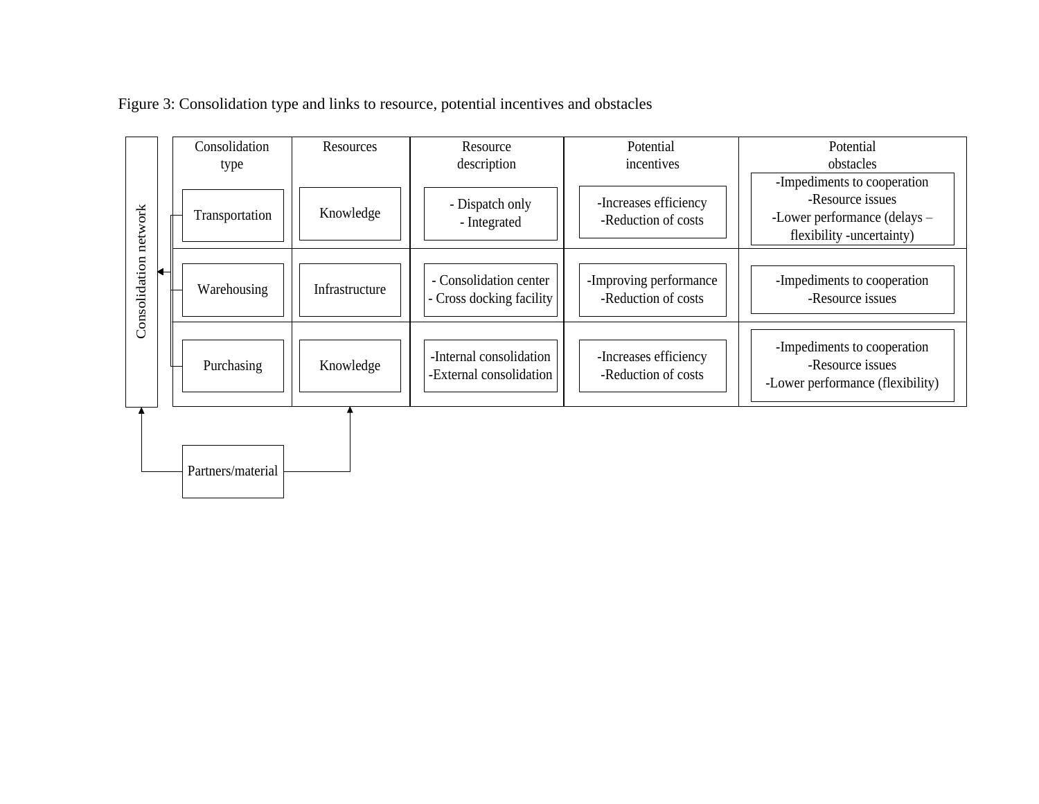

Figure 3: Consolidation type and links to resource, potential incentives and obstacles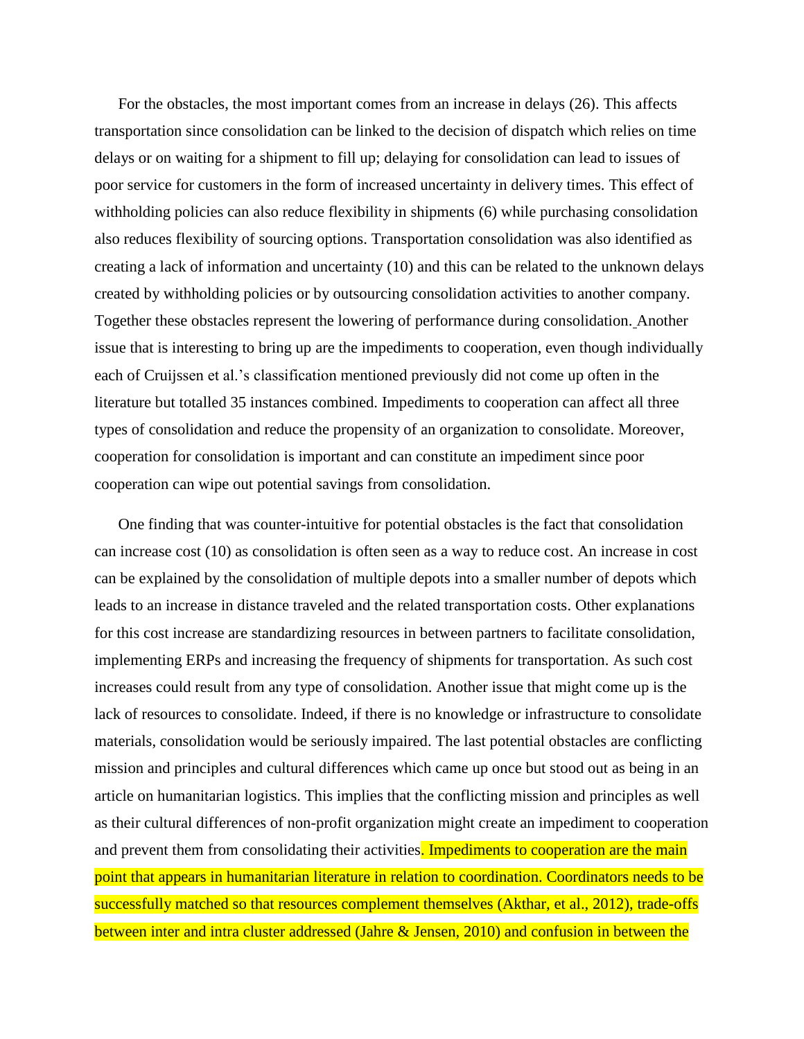For the obstacles, the most important comes from an increase in delays (26). This affects transportation since consolidation can be linked to the decision of dispatch which relies on time delays or on waiting for a shipment to fill up; delaying for consolidation can lead to issues of poor service for customers in the form of increased uncertainty in delivery times. This effect of withholding policies can also reduce flexibility in shipments (6) while purchasing consolidation also reduces flexibility of sourcing options. Transportation consolidation was also identified as creating a lack of information and uncertainty (10) and this can be related to the unknown delays created by withholding policies or by outsourcing consolidation activities to another company. Together these obstacles represent the lowering of performance during consolidation. Another issue that is interesting to bring up are the impediments to cooperation, even though individually each of Cruijssen et al.'s classification mentioned previously did not come up often in the literature but totalled 35 instances combined. Impediments to cooperation can affect all three types of consolidation and reduce the propensity of an organization to consolidate. Moreover, cooperation for consolidation is important and can constitute an impediment since poor cooperation can wipe out potential savings from consolidation.

One finding that was counter-intuitive for potential obstacles is the fact that consolidation can increase cost (10) as consolidation is often seen as a way to reduce cost. An increase in cost can be explained by the consolidation of multiple depots into a smaller number of depots which leads to an increase in distance traveled and the related transportation costs. Other explanations for this cost increase are standardizing resources in between partners to facilitate consolidation, implementing ERPs and increasing the frequency of shipments for transportation. As such cost increases could result from any type of consolidation. Another issue that might come up is the lack of resources to consolidate. Indeed, if there is no knowledge or infrastructure to consolidate materials, consolidation would be seriously impaired. The last potential obstacles are conflicting mission and principles and cultural differences which came up once but stood out as being in an article on humanitarian logistics. This implies that the conflicting mission and principles as well as their cultural differences of non-profit organization might create an impediment to cooperation and prevent them from consolidating their activities. Impediments to cooperation are the main point that appears in humanitarian literature in relation to coordination. Coordinators needs to be successfully matched so that resources complement themselves (Akthar, et al., 2012), trade-offs between inter and intra cluster addressed (Jahre & Jensen, 2010) and confusion in between the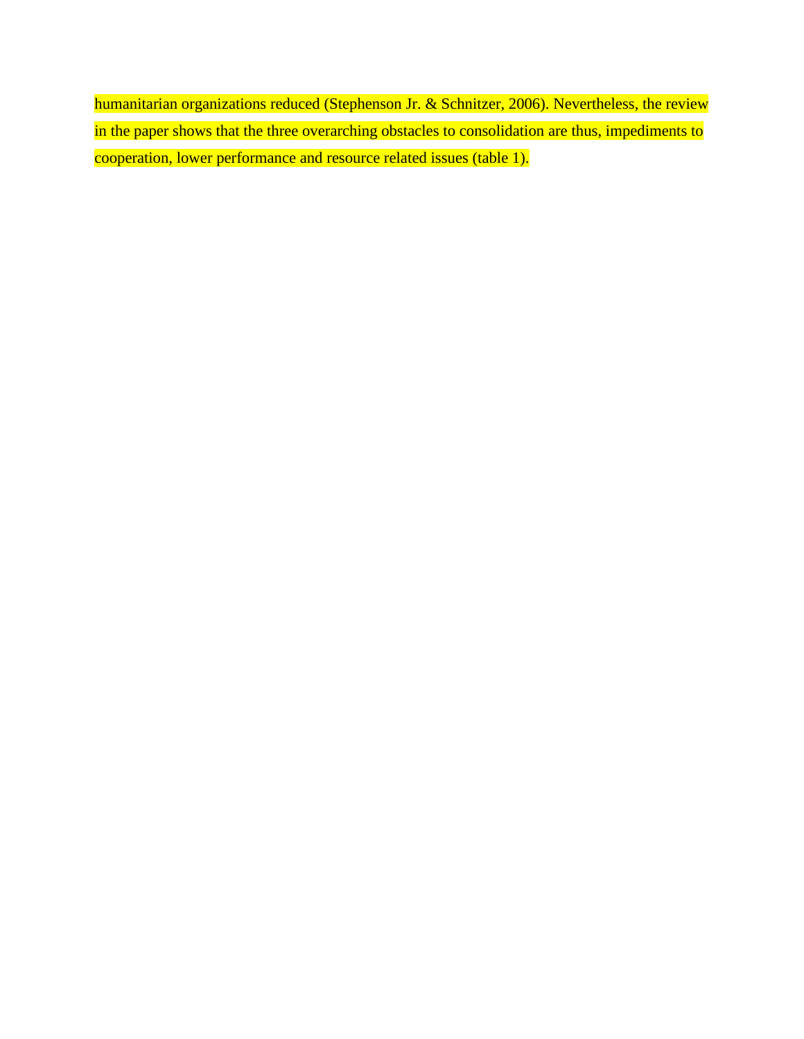humanitarian organizations reduced (Stephenson Jr. & Schnitzer, 2006). Nevertheless, the review in the paper shows that the three overarching obstacles to consolidation are thus, impediments to cooperation, lower performance and resource related issues (table 1).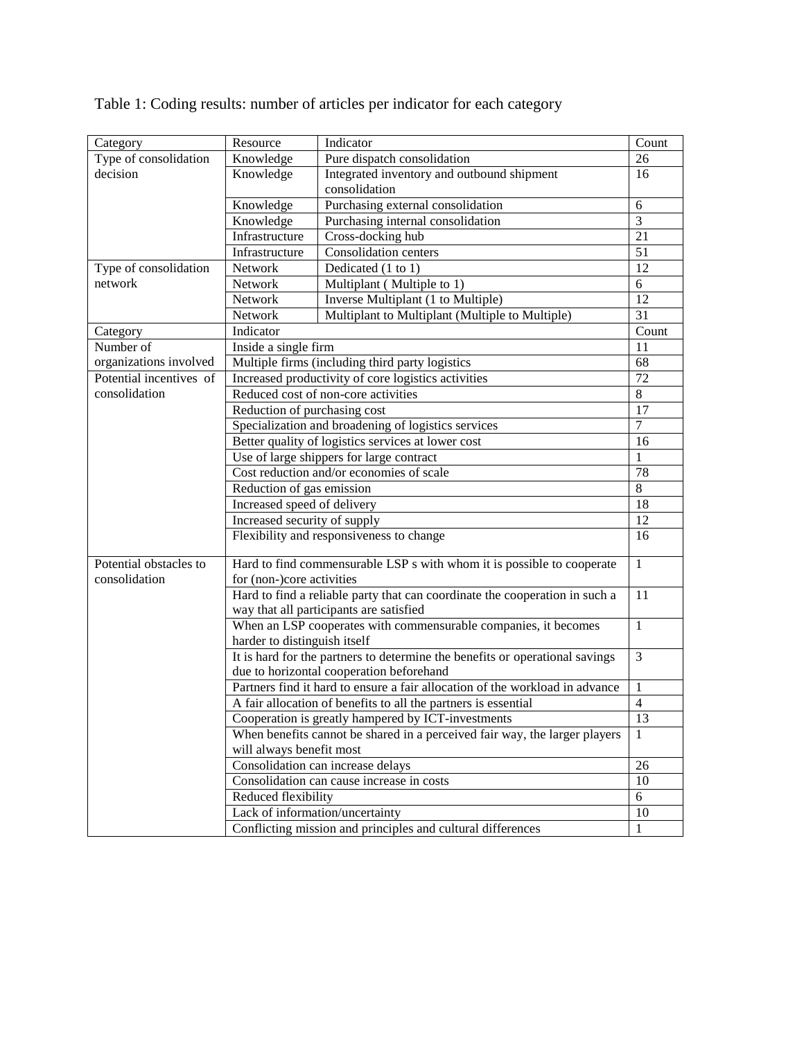| Category                | Resource                                                                                                                                                                                                                                                                           | Indicator                                                   | Count |
|-------------------------|------------------------------------------------------------------------------------------------------------------------------------------------------------------------------------------------------------------------------------------------------------------------------------|-------------------------------------------------------------|-------|
| Type of consolidation   | Knowledge                                                                                                                                                                                                                                                                          | Pure dispatch consolidation                                 | 26    |
| decision                | Knowledge                                                                                                                                                                                                                                                                          | Integrated inventory and outbound shipment                  | 16    |
|                         |                                                                                                                                                                                                                                                                                    | consolidation                                               |       |
|                         | Knowledge                                                                                                                                                                                                                                                                          | Purchasing external consolidation                           | 6     |
|                         | Knowledge                                                                                                                                                                                                                                                                          | Purchasing internal consolidation                           | 3     |
|                         | Infrastructure                                                                                                                                                                                                                                                                     | Cross-docking hub                                           | 21    |
|                         | Infrastructure                                                                                                                                                                                                                                                                     | Consolidation centers                                       | 51    |
| Type of consolidation   | Network                                                                                                                                                                                                                                                                            | Dedicated (1 to 1)                                          | 12    |
| network                 | Network                                                                                                                                                                                                                                                                            | Multiplant (Multiple to 1)                                  | 6     |
|                         | Network                                                                                                                                                                                                                                                                            | Inverse Multiplant (1 to Multiple)                          | 12    |
|                         | Network                                                                                                                                                                                                                                                                            | Multiplant to Multiplant (Multiple to Multiple)             | 31    |
| Category                | Indicator                                                                                                                                                                                                                                                                          |                                                             | Count |
| Number of               | Inside a single firm                                                                                                                                                                                                                                                               |                                                             | 11    |
| organizations involved  | Multiple firms (including third party logistics                                                                                                                                                                                                                                    |                                                             | 68    |
| Potential incentives of | Increased productivity of core logistics activities                                                                                                                                                                                                                                |                                                             | 72    |
| consolidation           | Reduced cost of non-core activities                                                                                                                                                                                                                                                |                                                             | 8     |
|                         | Reduction of purchasing cost                                                                                                                                                                                                                                                       |                                                             | 17    |
|                         | Specialization and broadening of logistics services                                                                                                                                                                                                                                |                                                             | 7     |
|                         | Better quality of logistics services at lower cost                                                                                                                                                                                                                                 |                                                             | 16    |
|                         | Use of large shippers for large contract                                                                                                                                                                                                                                           |                                                             | 1     |
|                         | Cost reduction and/or economies of scale                                                                                                                                                                                                                                           |                                                             | 78    |
|                         | Reduction of gas emission                                                                                                                                                                                                                                                          |                                                             | 8     |
|                         | Increased speed of delivery                                                                                                                                                                                                                                                        |                                                             | 18    |
|                         | Increased security of supply                                                                                                                                                                                                                                                       |                                                             | 12    |
|                         | Flexibility and responsiveness to change                                                                                                                                                                                                                                           |                                                             | 16    |
|                         |                                                                                                                                                                                                                                                                                    |                                                             |       |
| Potential obstacles to  | Hard to find commensurable LSP s with whom it is possible to cooperate<br>$\mathbf{1}$                                                                                                                                                                                             |                                                             |       |
| consolidation           | for (non-)core activities<br>11                                                                                                                                                                                                                                                    |                                                             |       |
|                         | Hard to find a reliable party that can coordinate the cooperation in such a                                                                                                                                                                                                        |                                                             |       |
|                         | way that all participants are satisfied                                                                                                                                                                                                                                            |                                                             |       |
|                         | When an LSP cooperates with commensurable companies, it becomes<br>$\mathbf{1}$                                                                                                                                                                                                    |                                                             |       |
|                         | harder to distinguish itself                                                                                                                                                                                                                                                       |                                                             |       |
|                         | It is hard for the partners to determine the benefits or operational savings<br>3                                                                                                                                                                                                  |                                                             |       |
|                         | due to horizontal cooperation beforehand                                                                                                                                                                                                                                           |                                                             |       |
|                         | Partners find it hard to ensure a fair allocation of the workload in advance<br>A fair allocation of benefits to all the partners is essential<br>Cooperation is greatly hampered by ICT-investments<br>When benefits cannot be shared in a perceived fair way, the larger players |                                                             | 1     |
|                         |                                                                                                                                                                                                                                                                                    |                                                             | 4     |
|                         |                                                                                                                                                                                                                                                                                    |                                                             | 13    |
|                         |                                                                                                                                                                                                                                                                                    |                                                             | 1     |
|                         | will always benefit most                                                                                                                                                                                                                                                           |                                                             |       |
|                         | Consolidation can increase delays                                                                                                                                                                                                                                                  |                                                             | 26    |
|                         | Consolidation can cause increase in costs<br>Reduced flexibility                                                                                                                                                                                                                   |                                                             | 10    |
|                         |                                                                                                                                                                                                                                                                                    |                                                             | 6     |
|                         | Lack of information/uncertainty                                                                                                                                                                                                                                                    |                                                             | 10    |
|                         |                                                                                                                                                                                                                                                                                    | Conflicting mission and principles and cultural differences | 1     |

Table 1: Coding results: number of articles per indicator for each category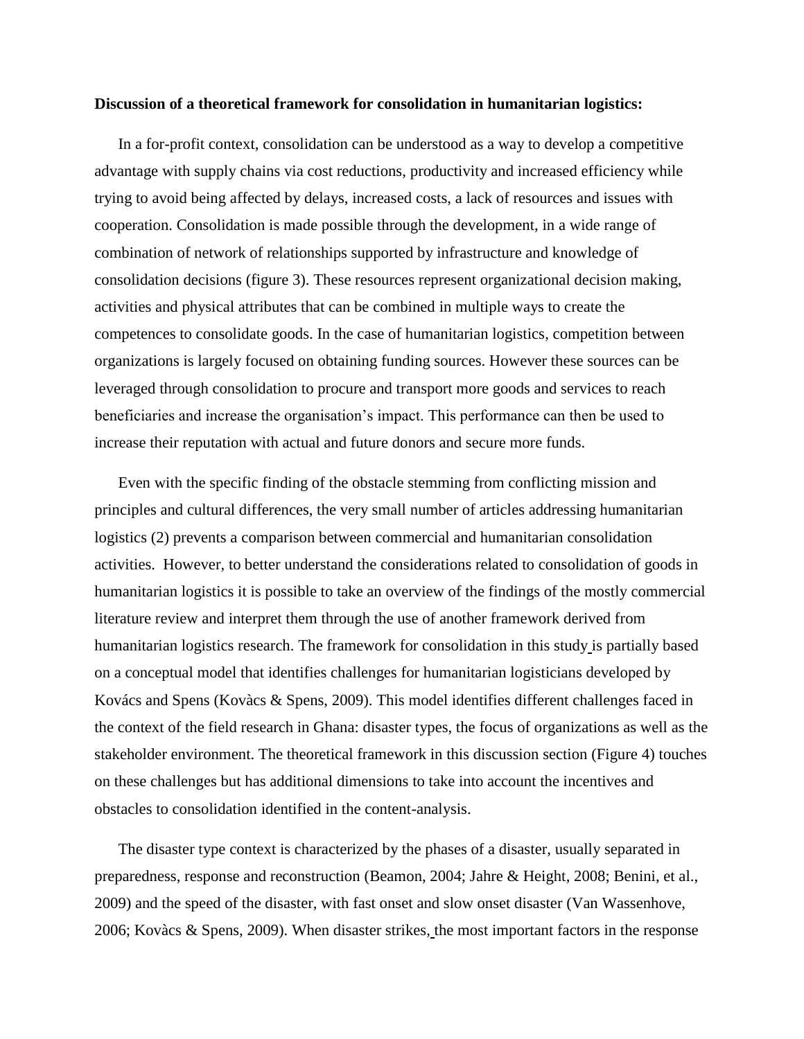#### **Discussion of a theoretical framework for consolidation in humanitarian logistics:**

In a for-profit context, consolidation can be understood as a way to develop a competitive advantage with supply chains via cost reductions, productivity and increased efficiency while trying to avoid being affected by delays, increased costs, a lack of resources and issues with cooperation. Consolidation is made possible through the development, in a wide range of combination of network of relationships supported by infrastructure and knowledge of consolidation decisions (figure 3). These resources represent organizational decision making, activities and physical attributes that can be combined in multiple ways to create the competences to consolidate goods. In the case of humanitarian logistics, competition between organizations is largely focused on obtaining funding sources. However these sources can be leveraged through consolidation to procure and transport more goods and services to reach beneficiaries and increase the organisation's impact. This performance can then be used to increase their reputation with actual and future donors and secure more funds.

Even with the specific finding of the obstacle stemming from conflicting mission and principles and cultural differences, the very small number of articles addressing humanitarian logistics (2) prevents a comparison between commercial and humanitarian consolidation activities. However, to better understand the considerations related to consolidation of goods in humanitarian logistics it is possible to take an overview of the findings of the mostly commercial literature review and interpret them through the use of another framework derived from humanitarian logistics research. The framework for consolidation in this study is partially based on a conceptual model that identifies challenges for humanitarian logisticians developed by Kovács and Spens (Kovàcs & Spens, 2009). This model identifies different challenges faced in the context of the field research in Ghana: disaster types, the focus of organizations as well as the stakeholder environment. The theoretical framework in this discussion section (Figure 4) touches on these challenges but has additional dimensions to take into account the incentives and obstacles to consolidation identified in the content-analysis.

The disaster type context is characterized by the phases of a disaster, usually separated in preparedness, response and reconstruction (Beamon, 2004; Jahre & Height, 2008; Benini, et al., 2009) and the speed of the disaster, with fast onset and slow onset disaster (Van Wassenhove, 2006; Kovàcs & Spens, 2009). When disaster strikes, the most important factors in the response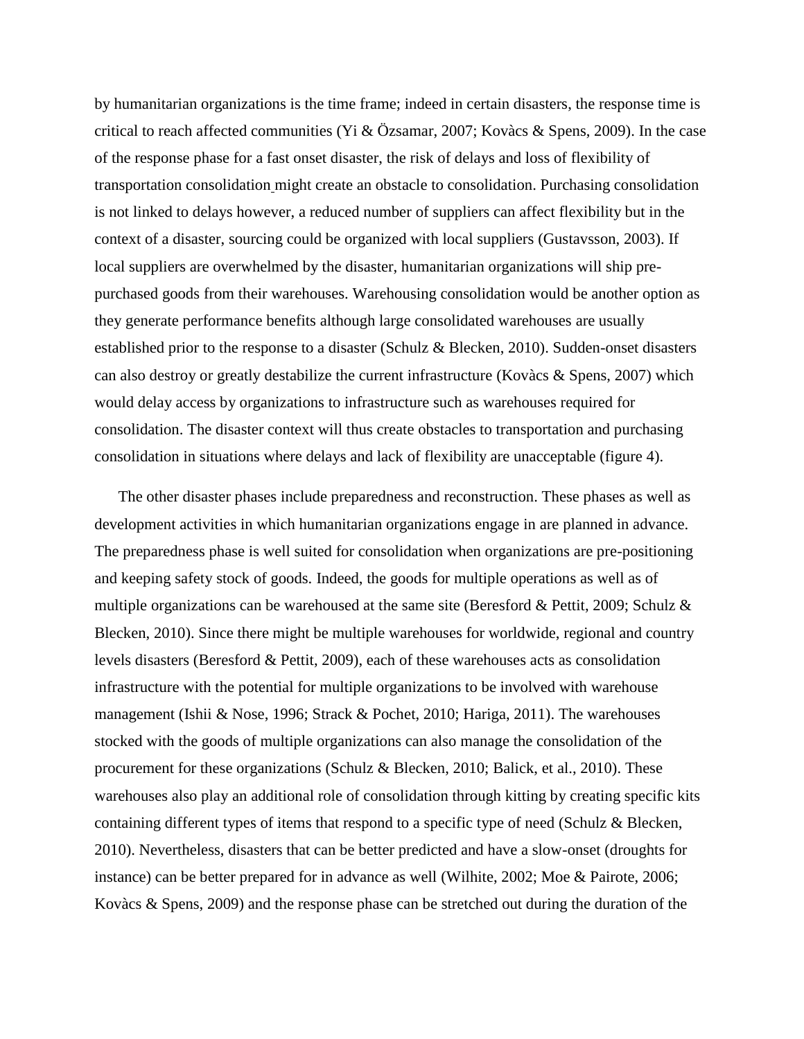by humanitarian organizations is the time frame; indeed in certain disasters, the response time is critical to reach affected communities (Yi & Özsamar, 2007; Kovàcs & Spens, 2009). In the case of the response phase for a fast onset disaster, the risk of delays and loss of flexibility of transportation consolidation might create an obstacle to consolidation. Purchasing consolidation is not linked to delays however, a reduced number of suppliers can affect flexibility but in the context of a disaster, sourcing could be organized with local suppliers (Gustavsson, 2003). If local suppliers are overwhelmed by the disaster, humanitarian organizations will ship prepurchased goods from their warehouses. Warehousing consolidation would be another option as they generate performance benefits although large consolidated warehouses are usually established prior to the response to a disaster (Schulz & Blecken, 2010). Sudden-onset disasters can also destroy or greatly destabilize the current infrastructure (Kovàcs & Spens, 2007) which would delay access by organizations to infrastructure such as warehouses required for consolidation. The disaster context will thus create obstacles to transportation and purchasing consolidation in situations where delays and lack of flexibility are unacceptable (figure 4).

The other disaster phases include preparedness and reconstruction. These phases as well as development activities in which humanitarian organizations engage in are planned in advance. The preparedness phase is well suited for consolidation when organizations are pre-positioning and keeping safety stock of goods. Indeed, the goods for multiple operations as well as of multiple organizations can be warehoused at the same site (Beresford & Pettit, 2009; Schulz & Blecken, 2010). Since there might be multiple warehouses for worldwide, regional and country levels disasters (Beresford & Pettit, 2009), each of these warehouses acts as consolidation infrastructure with the potential for multiple organizations to be involved with warehouse management (Ishii & Nose, 1996; Strack & Pochet, 2010; Hariga, 2011). The warehouses stocked with the goods of multiple organizations can also manage the consolidation of the procurement for these organizations (Schulz & Blecken, 2010; Balick, et al., 2010). These warehouses also play an additional role of consolidation through kitting by creating specific kits containing different types of items that respond to a specific type of need (Schulz & Blecken, 2010). Nevertheless, disasters that can be better predicted and have a slow-onset (droughts for instance) can be better prepared for in advance as well (Wilhite, 2002; Moe & Pairote, 2006; Kovàcs & Spens, 2009) and the response phase can be stretched out during the duration of the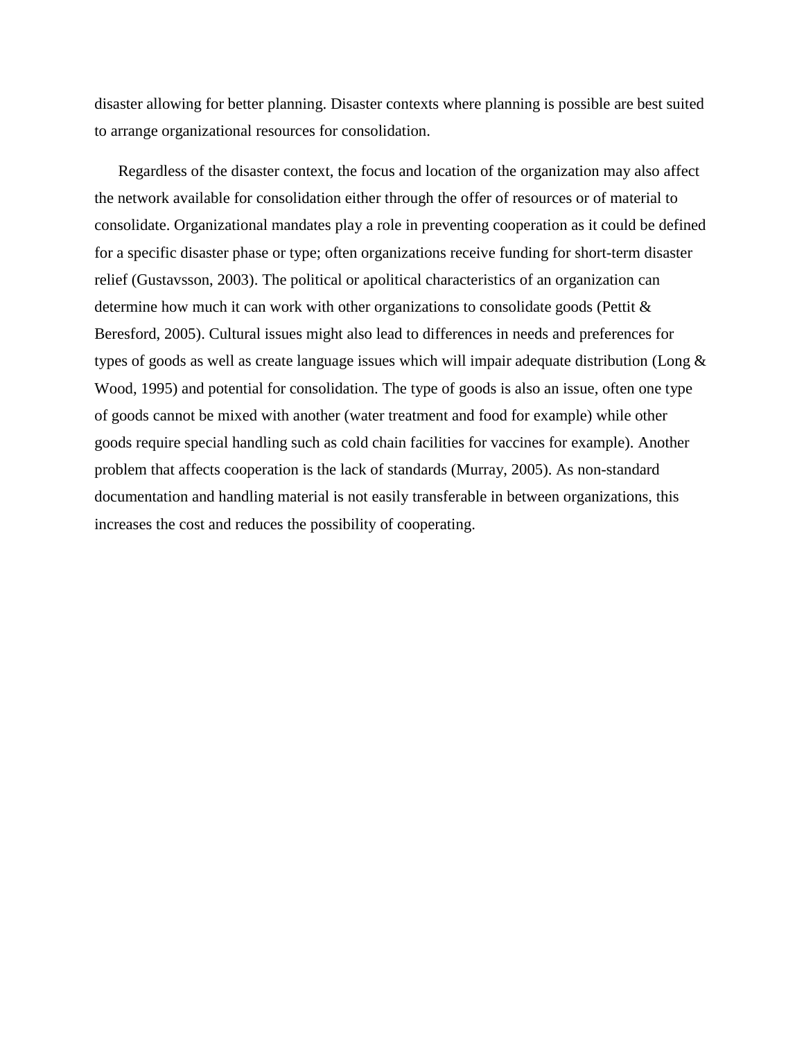disaster allowing for better planning. Disaster contexts where planning is possible are best suited to arrange organizational resources for consolidation.

Regardless of the disaster context, the focus and location of the organization may also affect the network available for consolidation either through the offer of resources or of material to consolidate. Organizational mandates play a role in preventing cooperation as it could be defined for a specific disaster phase or type; often organizations receive funding for short-term disaster relief (Gustavsson, 2003). The political or apolitical characteristics of an organization can determine how much it can work with other organizations to consolidate goods (Pettit & Beresford, 2005). Cultural issues might also lead to differences in needs and preferences for types of goods as well as create language issues which will impair adequate distribution (Long & Wood, 1995) and potential for consolidation. The type of goods is also an issue, often one type of goods cannot be mixed with another (water treatment and food for example) while other goods require special handling such as cold chain facilities for vaccines for example). Another problem that affects cooperation is the lack of standards (Murray, 2005). As non-standard documentation and handling material is not easily transferable in between organizations, this increases the cost and reduces the possibility of cooperating.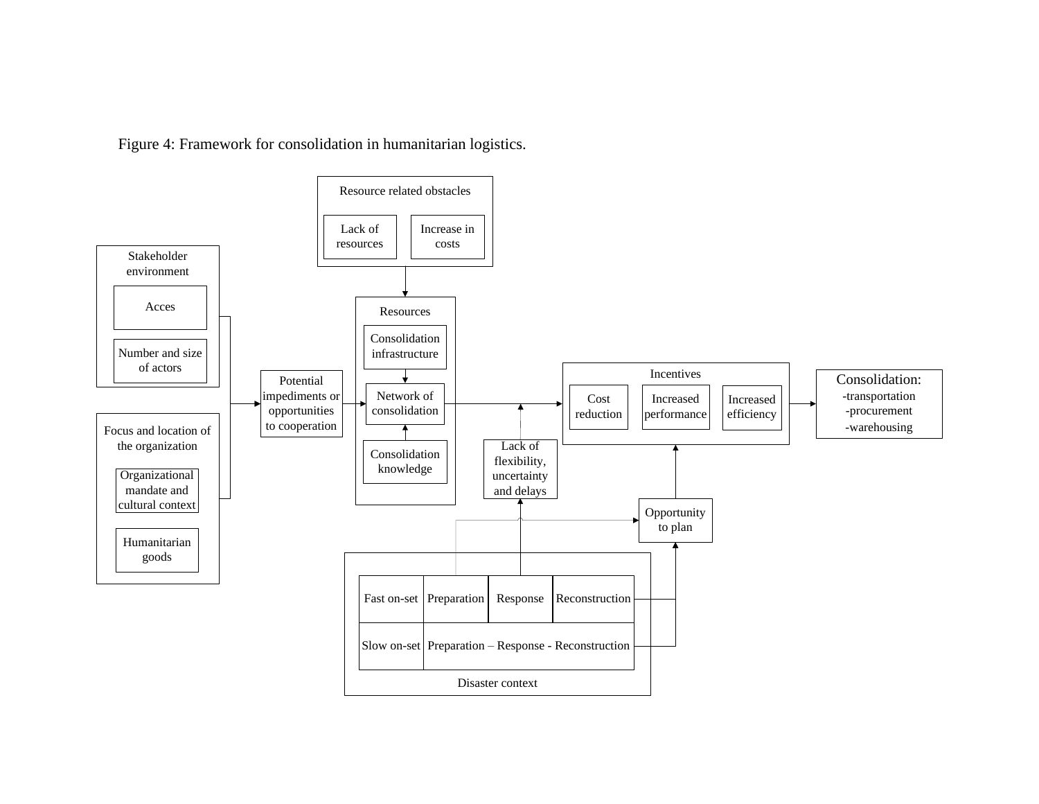Figure 4: Framework for consolidation in humanitarian logistics.

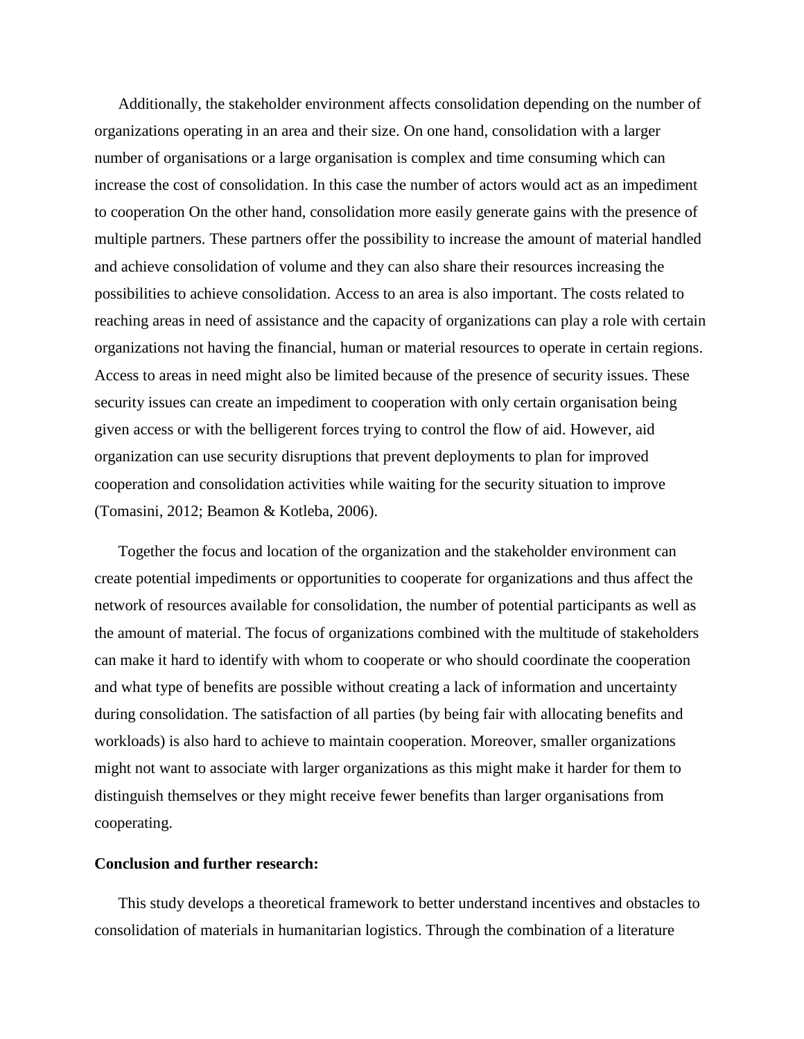Additionally, the stakeholder environment affects consolidation depending on the number of organizations operating in an area and their size. On one hand, consolidation with a larger number of organisations or a large organisation is complex and time consuming which can increase the cost of consolidation. In this case the number of actors would act as an impediment to cooperation On the other hand, consolidation more easily generate gains with the presence of multiple partners. These partners offer the possibility to increase the amount of material handled and achieve consolidation of volume and they can also share their resources increasing the possibilities to achieve consolidation. Access to an area is also important. The costs related to reaching areas in need of assistance and the capacity of organizations can play a role with certain organizations not having the financial, human or material resources to operate in certain regions. Access to areas in need might also be limited because of the presence of security issues. These security issues can create an impediment to cooperation with only certain organisation being given access or with the belligerent forces trying to control the flow of aid. However, aid organization can use security disruptions that prevent deployments to plan for improved cooperation and consolidation activities while waiting for the security situation to improve (Tomasini, 2012; Beamon & Kotleba, 2006).

Together the focus and location of the organization and the stakeholder environment can create potential impediments or opportunities to cooperate for organizations and thus affect the network of resources available for consolidation, the number of potential participants as well as the amount of material. The focus of organizations combined with the multitude of stakeholders can make it hard to identify with whom to cooperate or who should coordinate the cooperation and what type of benefits are possible without creating a lack of information and uncertainty during consolidation. The satisfaction of all parties (by being fair with allocating benefits and workloads) is also hard to achieve to maintain cooperation. Moreover, smaller organizations might not want to associate with larger organizations as this might make it harder for them to distinguish themselves or they might receive fewer benefits than larger organisations from cooperating.

#### **Conclusion and further research:**

This study develops a theoretical framework to better understand incentives and obstacles to consolidation of materials in humanitarian logistics. Through the combination of a literature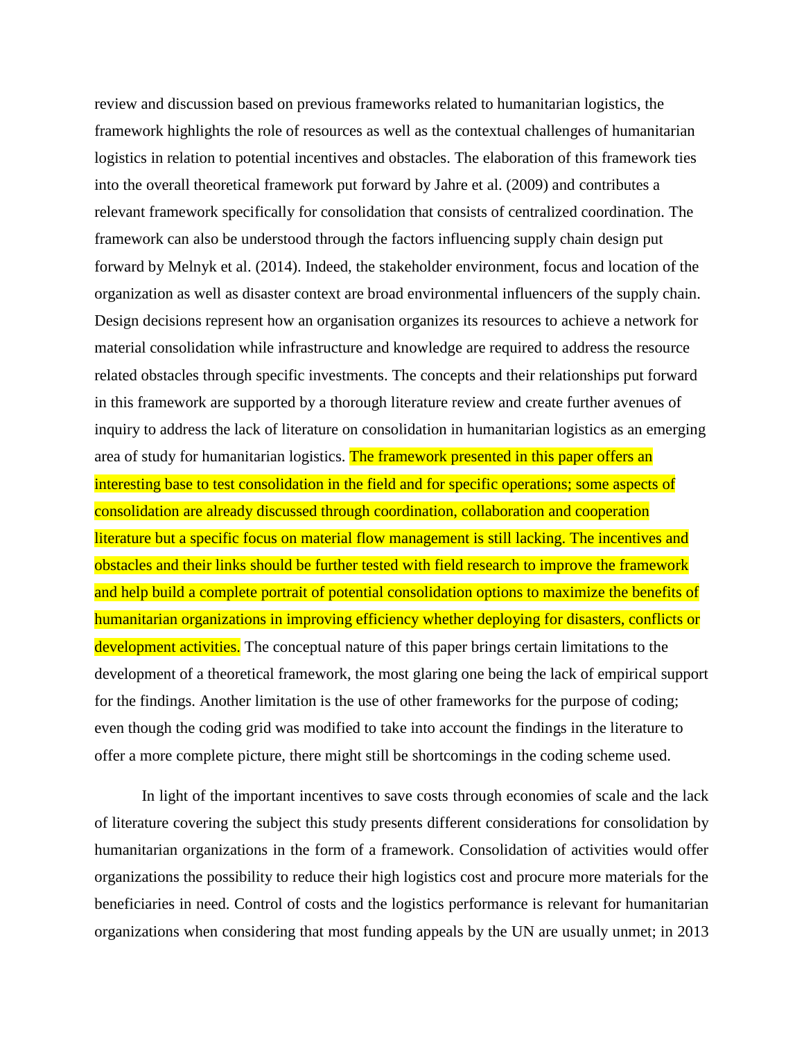review and discussion based on previous frameworks related to humanitarian logistics, the framework highlights the role of resources as well as the contextual challenges of humanitarian logistics in relation to potential incentives and obstacles. The elaboration of this framework ties into the overall theoretical framework put forward by Jahre et al. (2009) and contributes a relevant framework specifically for consolidation that consists of centralized coordination. The framework can also be understood through the factors influencing supply chain design put forward by Melnyk et al. (2014). Indeed, the stakeholder environment, focus and location of the organization as well as disaster context are broad environmental influencers of the supply chain. Design decisions represent how an organisation organizes its resources to achieve a network for material consolidation while infrastructure and knowledge are required to address the resource related obstacles through specific investments. The concepts and their relationships put forward in this framework are supported by a thorough literature review and create further avenues of inquiry to address the lack of literature on consolidation in humanitarian logistics as an emerging area of study for humanitarian logistics. The framework presented in this paper offers an interesting base to test consolidation in the field and for specific operations; some aspects of consolidation are already discussed through coordination, collaboration and cooperation literature but a specific focus on material flow management is still lacking. The incentives and obstacles and their links should be further tested with field research to improve the framework and help build a complete portrait of potential consolidation options to maximize the benefits of humanitarian organizations in improving efficiency whether deploying for disasters, conflicts or development activities. The conceptual nature of this paper brings certain limitations to the development of a theoretical framework, the most glaring one being the lack of empirical support for the findings. Another limitation is the use of other frameworks for the purpose of coding; even though the coding grid was modified to take into account the findings in the literature to offer a more complete picture, there might still be shortcomings in the coding scheme used.

In light of the important incentives to save costs through economies of scale and the lack of literature covering the subject this study presents different considerations for consolidation by humanitarian organizations in the form of a framework. Consolidation of activities would offer organizations the possibility to reduce their high logistics cost and procure more materials for the beneficiaries in need. Control of costs and the logistics performance is relevant for humanitarian organizations when considering that most funding appeals by the UN are usually unmet; in 2013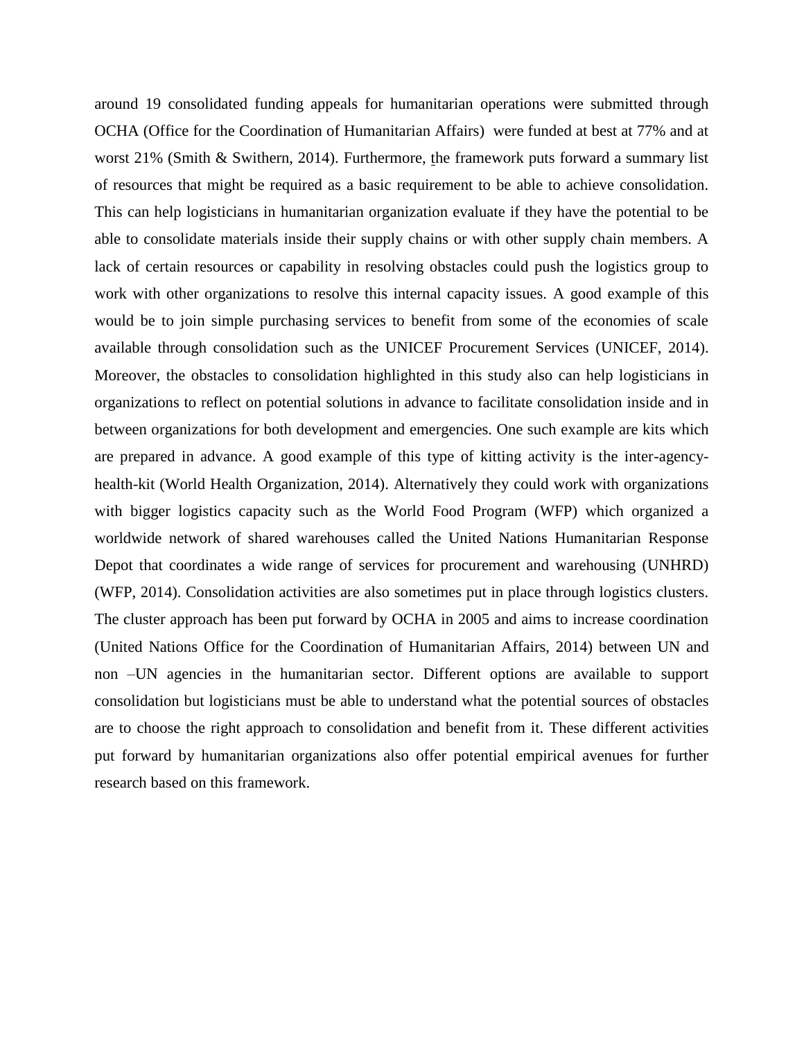around 19 consolidated funding appeals for humanitarian operations were submitted through OCHA (Office for the Coordination of Humanitarian Affairs) were funded at best at 77% and at worst 21% (Smith & Swithern, 2014). Furthermore, the framework puts forward a summary list of resources that might be required as a basic requirement to be able to achieve consolidation. This can help logisticians in humanitarian organization evaluate if they have the potential to be able to consolidate materials inside their supply chains or with other supply chain members. A lack of certain resources or capability in resolving obstacles could push the logistics group to work with other organizations to resolve this internal capacity issues. A good example of this would be to join simple purchasing services to benefit from some of the economies of scale available through consolidation such as the UNICEF Procurement Services (UNICEF, 2014). Moreover, the obstacles to consolidation highlighted in this study also can help logisticians in organizations to reflect on potential solutions in advance to facilitate consolidation inside and in between organizations for both development and emergencies. One such example are kits which are prepared in advance. A good example of this type of kitting activity is the inter-agencyhealth-kit (World Health Organization, 2014). Alternatively they could work with organizations with bigger logistics capacity such as the World Food Program (WFP) which organized a worldwide network of shared warehouses called the United Nations Humanitarian Response Depot that coordinates a wide range of services for procurement and warehousing (UNHRD) (WFP, 2014). Consolidation activities are also sometimes put in place through logistics clusters. The cluster approach has been put forward by OCHA in 2005 and aims to increase coordination (United Nations Office for the Coordination of Humanitarian Affairs, 2014) between UN and non –UN agencies in the humanitarian sector. Different options are available to support consolidation but logisticians must be able to understand what the potential sources of obstacles are to choose the right approach to consolidation and benefit from it. These different activities put forward by humanitarian organizations also offer potential empirical avenues for further research based on this framework.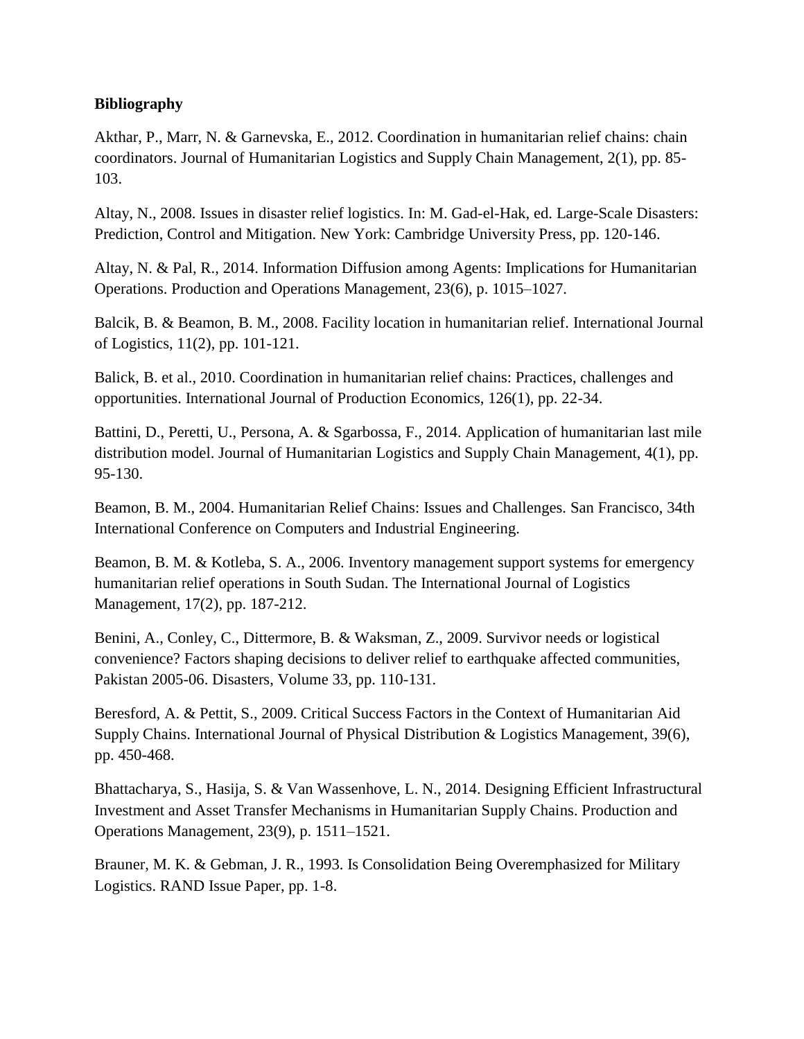## **Bibliography**

Akthar, P., Marr, N. & Garnevska, E., 2012. Coordination in humanitarian relief chains: chain coordinators. Journal of Humanitarian Logistics and Supply Chain Management, 2(1), pp. 85- 103.

Altay, N., 2008. Issues in disaster relief logistics. In: M. Gad-el-Hak, ed. Large-Scale Disasters: Prediction, Control and Mitigation. New York: Cambridge University Press, pp. 120-146.

Altay, N. & Pal, R., 2014. Information Diffusion among Agents: Implications for Humanitarian Operations. Production and Operations Management, 23(6), p. 1015–1027.

Balcik, B. & Beamon, B. M., 2008. Facility location in humanitarian relief. International Journal of Logistics, 11(2), pp. 101-121.

Balick, B. et al., 2010. Coordination in humanitarian relief chains: Practices, challenges and opportunities. International Journal of Production Economics, 126(1), pp. 22-34.

Battini, D., Peretti, U., Persona, A. & Sgarbossa, F., 2014. Application of humanitarian last mile distribution model. Journal of Humanitarian Logistics and Supply Chain Management, 4(1), pp. 95-130.

Beamon, B. M., 2004. Humanitarian Relief Chains: Issues and Challenges. San Francisco, 34th International Conference on Computers and Industrial Engineering.

Beamon, B. M. & Kotleba, S. A., 2006. Inventory management support systems for emergency humanitarian relief operations in South Sudan. The International Journal of Logistics Management, 17(2), pp. 187-212.

Benini, A., Conley, C., Dittermore, B. & Waksman, Z., 2009. Survivor needs or logistical convenience? Factors shaping decisions to deliver relief to earthquake affected communities, Pakistan 2005-06. Disasters, Volume 33, pp. 110-131.

Beresford, A. & Pettit, S., 2009. Critical Success Factors in the Context of Humanitarian Aid Supply Chains. International Journal of Physical Distribution & Logistics Management, 39(6), pp. 450-468.

Bhattacharya, S., Hasija, S. & Van Wassenhove, L. N., 2014. Designing Efficient Infrastructural Investment and Asset Transfer Mechanisms in Humanitarian Supply Chains. Production and Operations Management, 23(9), p. 1511–1521.

Brauner, M. K. & Gebman, J. R., 1993. Is Consolidation Being Overemphasized for Military Logistics. RAND Issue Paper, pp. 1-8.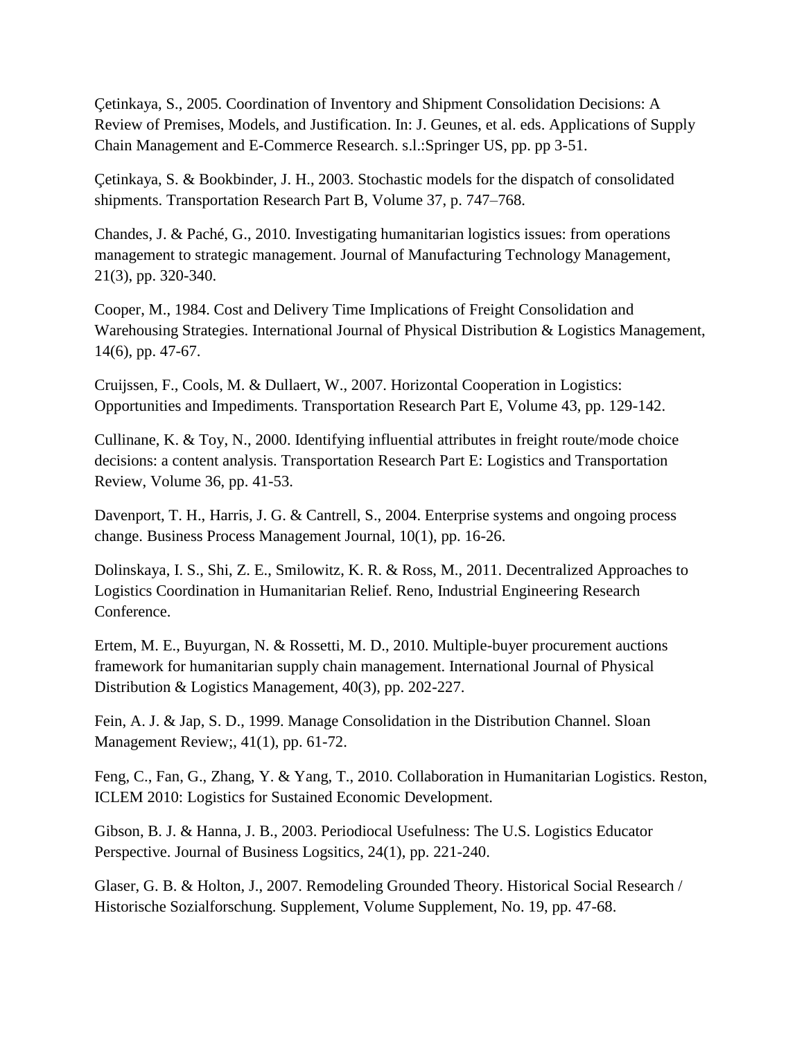Çetinkaya, S., 2005. Coordination of Inventory and Shipment Consolidation Decisions: A Review of Premises, Models, and Justification. In: J. Geunes, et al. eds. Applications of Supply Chain Management and E-Commerce Research. s.l.:Springer US, pp. pp 3-51.

Çetinkaya, S. & Bookbinder, J. H., 2003. Stochastic models for the dispatch of consolidated shipments. Transportation Research Part B, Volume 37, p. 747–768.

Chandes, J. & Paché, G., 2010. Investigating humanitarian logistics issues: from operations management to strategic management. Journal of Manufacturing Technology Management, 21(3), pp. 320-340.

Cooper, M., 1984. Cost and Delivery Time Implications of Freight Consolidation and Warehousing Strategies. International Journal of Physical Distribution & Logistics Management, 14(6), pp. 47-67.

Cruijssen, F., Cools, M. & Dullaert, W., 2007. Horizontal Cooperation in Logistics: Opportunities and Impediments. Transportation Research Part E, Volume 43, pp. 129-142.

Cullinane, K. & Toy, N., 2000. Identifying influential attributes in freight route/mode choice decisions: a content analysis. Transportation Research Part E: Logistics and Transportation Review, Volume 36, pp. 41-53.

Davenport, T. H., Harris, J. G. & Cantrell, S., 2004. Enterprise systems and ongoing process change. Business Process Management Journal, 10(1), pp. 16-26.

Dolinskaya, I. S., Shi, Z. E., Smilowitz, K. R. & Ross, M., 2011. Decentralized Approaches to Logistics Coordination in Humanitarian Relief. Reno, Industrial Engineering Research Conference.

Ertem, M. E., Buyurgan, N. & Rossetti, M. D., 2010. Multiple-buyer procurement auctions framework for humanitarian supply chain management. International Journal of Physical Distribution & Logistics Management, 40(3), pp. 202-227.

Fein, A. J. & Jap, S. D., 1999. Manage Consolidation in the Distribution Channel. Sloan Management Review;, 41(1), pp. 61-72.

Feng, C., Fan, G., Zhang, Y. & Yang, T., 2010. Collaboration in Humanitarian Logistics. Reston, ICLEM 2010: Logistics for Sustained Economic Development.

Gibson, B. J. & Hanna, J. B., 2003. Periodiocal Usefulness: The U.S. Logistics Educator Perspective. Journal of Business Logsitics, 24(1), pp. 221-240.

Glaser, G. B. & Holton, J., 2007. Remodeling Grounded Theory. Historical Social Research / Historische Sozialforschung. Supplement, Volume Supplement, No. 19, pp. 47-68.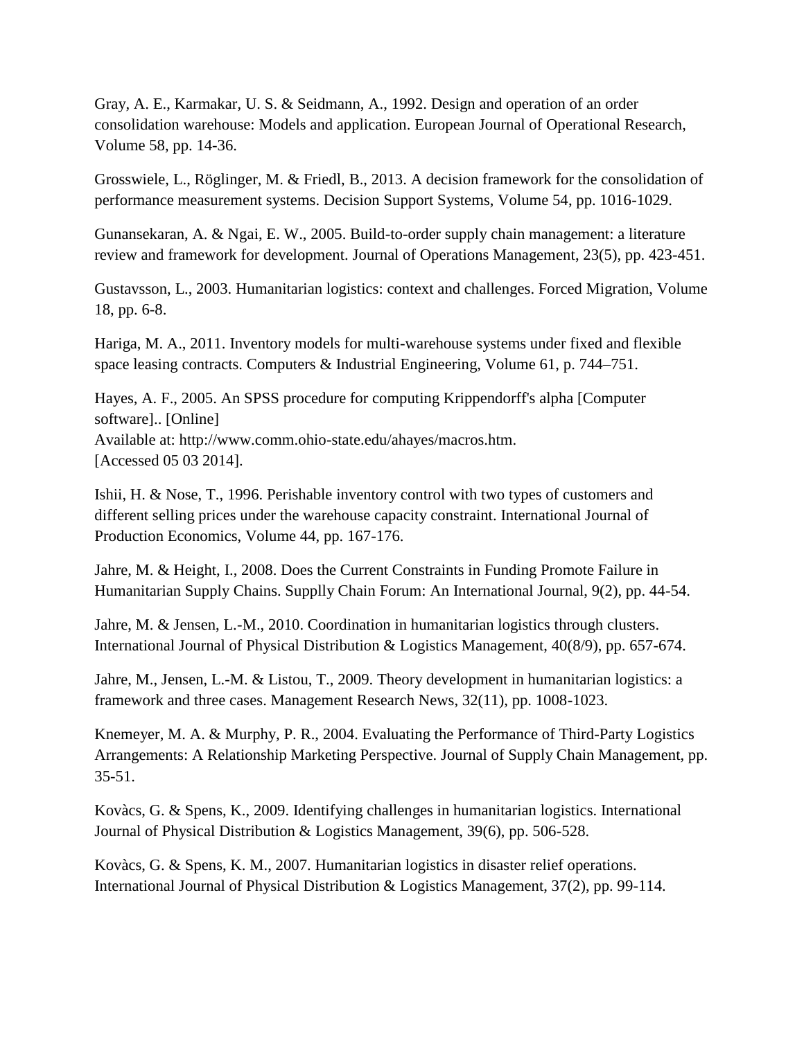Gray, A. E., Karmakar, U. S. & Seidmann, A., 1992. Design and operation of an order consolidation warehouse: Models and application. European Journal of Operational Research, Volume 58, pp. 14-36.

Grosswiele, L., Röglinger, M. & Friedl, B., 2013. A decision framework for the consolidation of performance measurement systems. Decision Support Systems, Volume 54, pp. 1016-1029.

Gunansekaran, A. & Ngai, E. W., 2005. Build-to-order supply chain management: a literature review and framework for development. Journal of Operations Management, 23(5), pp. 423-451.

Gustavsson, L., 2003. Humanitarian logistics: context and challenges. Forced Migration, Volume 18, pp. 6-8.

Hariga, M. A., 2011. Inventory models for multi-warehouse systems under fixed and flexible space leasing contracts. Computers & Industrial Engineering, Volume 61, p. 744–751.

Hayes, A. F., 2005. An SPSS procedure for computing Krippendorff's alpha [Computer software].. [Online] Available at: http://www.comm.ohio-state.edu/ahayes/macros.htm. [Accessed 05 03 2014].

Ishii, H. & Nose, T., 1996. Perishable inventory control with two types of customers and different selling prices under the warehouse capacity constraint. International Journal of Production Economics, Volume 44, pp. 167-176.

Jahre, M. & Height, I., 2008. Does the Current Constraints in Funding Promote Failure in Humanitarian Supply Chains. Supplly Chain Forum: An International Journal, 9(2), pp. 44-54.

Jahre, M. & Jensen, L.-M., 2010. Coordination in humanitarian logistics through clusters. International Journal of Physical Distribution & Logistics Management, 40(8/9), pp. 657-674.

Jahre, M., Jensen, L.-M. & Listou, T., 2009. Theory development in humanitarian logistics: a framework and three cases. Management Research News, 32(11), pp. 1008-1023.

Knemeyer, M. A. & Murphy, P. R., 2004. Evaluating the Performance of Third-Party Logistics Arrangements: A Relationship Marketing Perspective. Journal of Supply Chain Management, pp. 35-51.

Kovàcs, G. & Spens, K., 2009. Identifying challenges in humanitarian logistics. International Journal of Physical Distribution & Logistics Management, 39(6), pp. 506-528.

Kovàcs, G. & Spens, K. M., 2007. Humanitarian logistics in disaster relief operations. International Journal of Physical Distribution & Logistics Management, 37(2), pp. 99-114.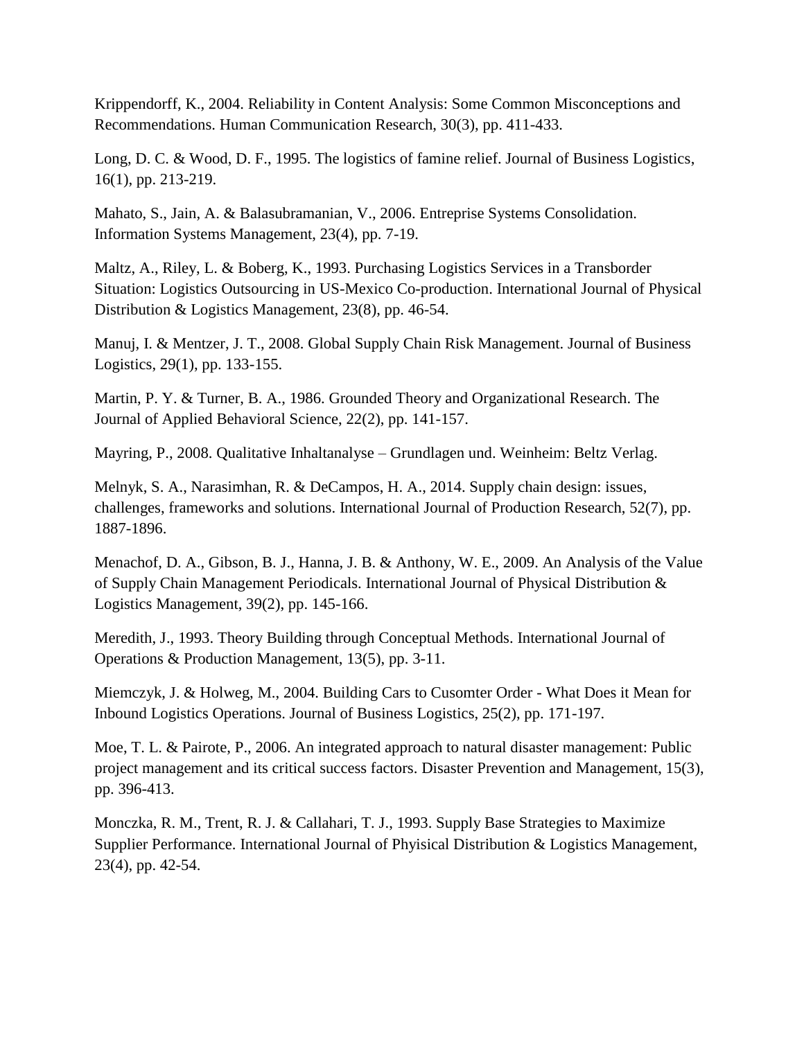Krippendorff, K., 2004. Reliability in Content Analysis: Some Common Misconceptions and Recommendations. Human Communication Research, 30(3), pp. 411-433.

Long, D. C. & Wood, D. F., 1995. The logistics of famine relief. Journal of Business Logistics, 16(1), pp. 213-219.

Mahato, S., Jain, A. & Balasubramanian, V., 2006. Entreprise Systems Consolidation. Information Systems Management, 23(4), pp. 7-19.

Maltz, A., Riley, L. & Boberg, K., 1993. Purchasing Logistics Services in a Transborder Situation: Logistics Outsourcing in US-Mexico Co-production. International Journal of Physical Distribution & Logistics Management, 23(8), pp. 46-54.

Manuj, I. & Mentzer, J. T., 2008. Global Supply Chain Risk Management. Journal of Business Logistics, 29(1), pp. 133-155.

Martin, P. Y. & Turner, B. A., 1986. Grounded Theory and Organizational Research. The Journal of Applied Behavioral Science, 22(2), pp. 141-157.

Mayring, P., 2008. Qualitative Inhaltanalyse – Grundlagen und. Weinheim: Beltz Verlag.

Melnyk, S. A., Narasimhan, R. & DeCampos, H. A., 2014. Supply chain design: issues, challenges, frameworks and solutions. International Journal of Production Research, 52(7), pp. 1887-1896.

Menachof, D. A., Gibson, B. J., Hanna, J. B. & Anthony, W. E., 2009. An Analysis of the Value of Supply Chain Management Periodicals. International Journal of Physical Distribution & Logistics Management, 39(2), pp. 145-166.

Meredith, J., 1993. Theory Building through Conceptual Methods. International Journal of Operations & Production Management, 13(5), pp. 3-11.

Miemczyk, J. & Holweg, M., 2004. Building Cars to Cusomter Order - What Does it Mean for Inbound Logistics Operations. Journal of Business Logistics, 25(2), pp. 171-197.

Moe, T. L. & Pairote, P., 2006. An integrated approach to natural disaster management: Public project management and its critical success factors. Disaster Prevention and Management, 15(3), pp. 396-413.

Monczka, R. M., Trent, R. J. & Callahari, T. J., 1993. Supply Base Strategies to Maximize Supplier Performance. International Journal of Phyisical Distribution & Logistics Management, 23(4), pp. 42-54.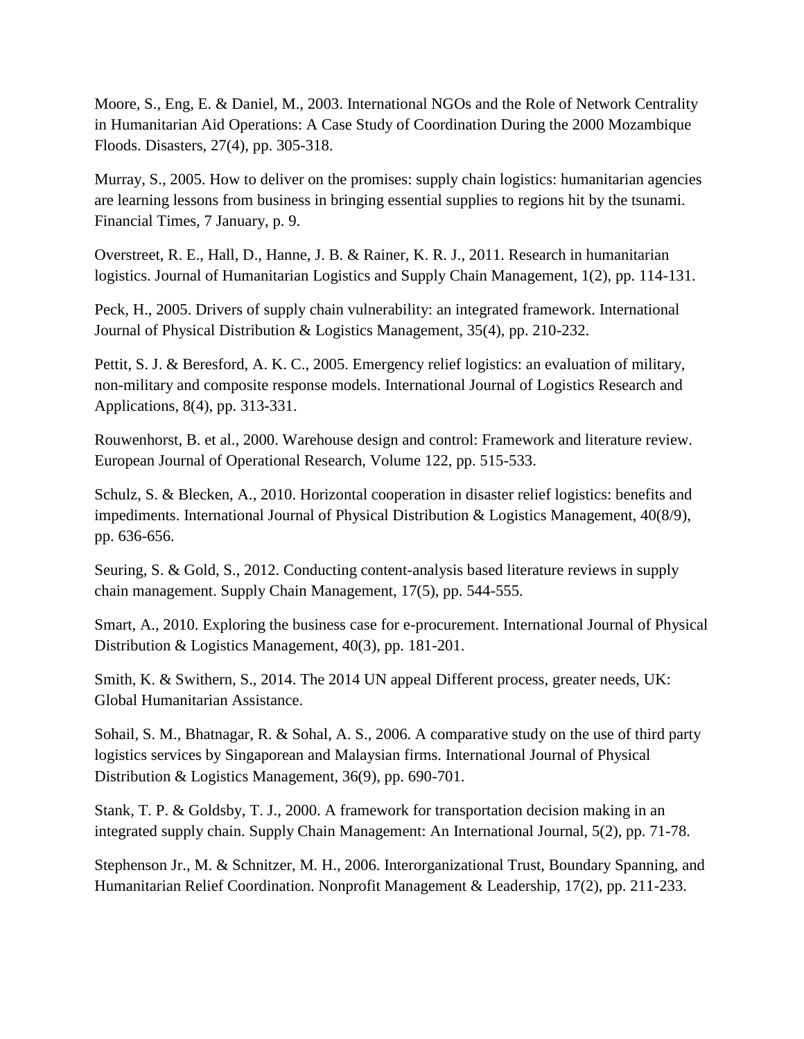Moore, S., Eng, E. & Daniel, M., 2003. International NGOs and the Role of Network Centrality in Humanitarian Aid Operations: A Case Study of Coordination During the 2000 Mozambique Floods. Disasters, 27(4), pp. 305-318.

Murray, S., 2005. How to deliver on the promises: supply chain logistics: humanitarian agencies are learning lessons from business in bringing essential supplies to regions hit by the tsunami. Financial Times, 7 January, p. 9.

Overstreet, R. E., Hall, D., Hanne, J. B. & Rainer, K. R. J., 2011. Research in humanitarian logistics. Journal of Humanitarian Logistics and Supply Chain Management, 1(2), pp. 114-131.

Peck, H., 2005. Drivers of supply chain vulnerability: an integrated framework. International Journal of Physical Distribution & Logistics Management, 35(4), pp. 210-232.

Pettit, S. J. & Beresford, A. K. C., 2005. Emergency relief logistics: an evaluation of military, non-military and composite response models. International Journal of Logistics Research and Applications, 8(4), pp. 313-331.

Rouwenhorst, B. et al., 2000. Warehouse design and control: Framework and literature review. European Journal of Operational Research, Volume 122, pp. 515-533.

Schulz, S. & Blecken, A., 2010. Horizontal cooperation in disaster relief logistics: benefits and impediments. International Journal of Physical Distribution & Logistics Management, 40(8/9), pp. 636-656.

Seuring, S. & Gold, S., 2012. Conducting content-analysis based literature reviews in supply chain management. Supply Chain Management, 17(5), pp. 544-555.

Smart, A., 2010. Exploring the business case for e-procurement. International Journal of Physical Distribution & Logistics Management, 40(3), pp. 181-201.

Smith, K. & Swithern, S., 2014. The 2014 UN appeal Different process, greater needs, UK: Global Humanitarian Assistance.

Sohail, S. M., Bhatnagar, R. & Sohal, A. S., 2006. A comparative study on the use of third party logistics services by Singaporean and Malaysian firms. International Journal of Physical Distribution & Logistics Management, 36(9), pp. 690-701.

Stank, T. P. & Goldsby, T. J., 2000. A framework for transportation decision making in an integrated supply chain. Supply Chain Management: An International Journal, 5(2), pp. 71-78.

Stephenson Jr., M. & Schnitzer, M. H., 2006. Interorganizational Trust, Boundary Spanning, and Humanitarian Relief Coordination. Nonprofit Management & Leadership, 17(2), pp. 211-233.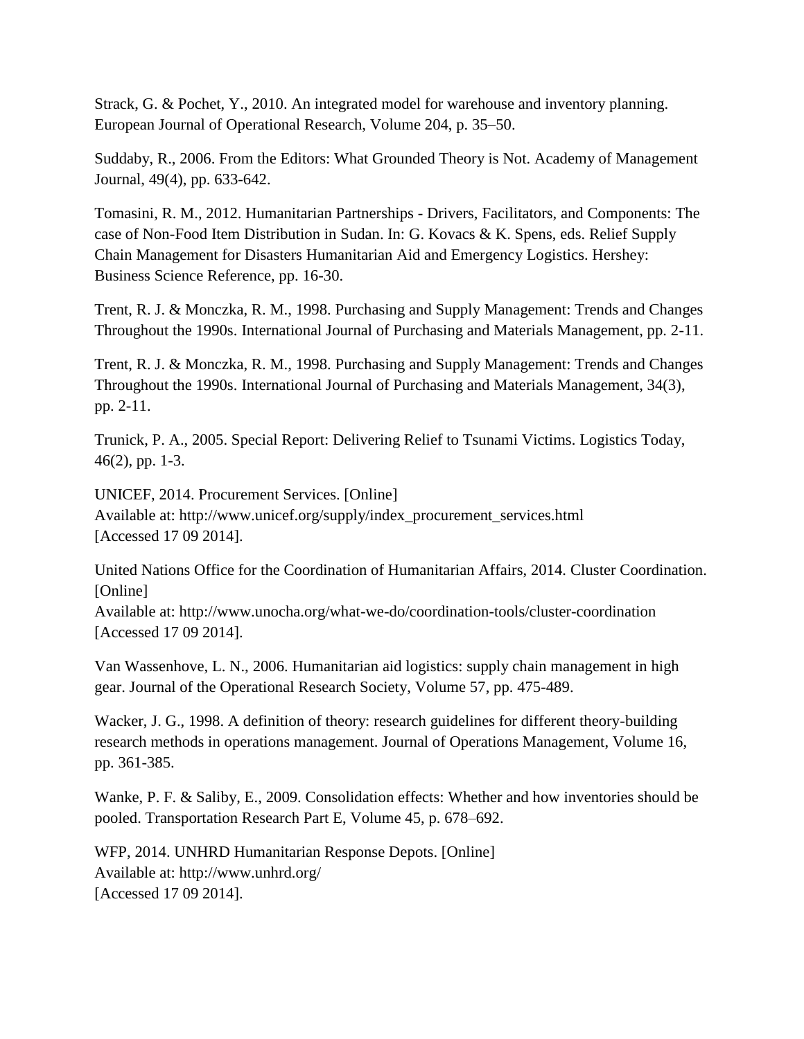Strack, G. & Pochet, Y., 2010. An integrated model for warehouse and inventory planning. European Journal of Operational Research, Volume 204, p. 35–50.

Suddaby, R., 2006. From the Editors: What Grounded Theory is Not. Academy of Management Journal, 49(4), pp. 633-642.

Tomasini, R. M., 2012. Humanitarian Partnerships - Drivers, Facilitators, and Components: The case of Non-Food Item Distribution in Sudan. In: G. Kovacs & K. Spens, eds. Relief Supply Chain Management for Disasters Humanitarian Aid and Emergency Logistics. Hershey: Business Science Reference, pp. 16-30.

Trent, R. J. & Monczka, R. M., 1998. Purchasing and Supply Management: Trends and Changes Throughout the 1990s. International Journal of Purchasing and Materials Management, pp. 2-11.

Trent, R. J. & Monczka, R. M., 1998. Purchasing and Supply Management: Trends and Changes Throughout the 1990s. International Journal of Purchasing and Materials Management, 34(3), pp. 2-11.

Trunick, P. A., 2005. Special Report: Delivering Relief to Tsunami Victims. Logistics Today, 46(2), pp. 1-3.

UNICEF, 2014. Procurement Services. [Online] Available at: http://www.unicef.org/supply/index\_procurement\_services.html [Accessed 17 09 2014].

United Nations Office for the Coordination of Humanitarian Affairs, 2014. Cluster Coordination. [Online]

Available at: http://www.unocha.org/what-we-do/coordination-tools/cluster-coordination [Accessed 17 09 2014].

Van Wassenhove, L. N., 2006. Humanitarian aid logistics: supply chain management in high gear. Journal of the Operational Research Society, Volume 57, pp. 475-489.

Wacker, J. G., 1998. A definition of theory: research guidelines for different theory-building research methods in operations management. Journal of Operations Management, Volume 16, pp. 361-385.

Wanke, P. F. & Saliby, E., 2009. Consolidation effects: Whether and how inventories should be pooled. Transportation Research Part E, Volume 45, p. 678–692.

WFP, 2014. UNHRD Humanitarian Response Depots. [Online] Available at: http://www.unhrd.org/ [Accessed 17 09 2014].